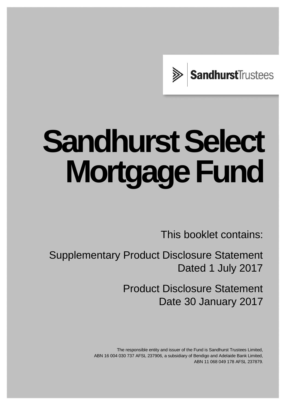

# **Sandhurst Select Mortgage Fund**

This booklet contains:

Supplementary Product Disclosure Statement Dated 1 July 2017

> Product Disclosure Statement Date 30 January 2017

The responsible entity and issuer of the Fund is Sandhurst Trustees Limited, ABN 16 004 030 737 AFSL 237906, a subsidiary of Bendigo and Adelaide Bank Limited, ABN 11 068 049 178 AFSL 237879.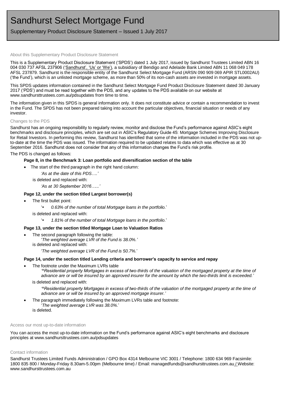# Sandhurst Select Mortgage Fund

# Supplementary Product Disclosure Statement – Issued 1 July 2017

#### About this Supplementary Product Disclosure Statement

This is a Supplementary Product Disclosure Statement ('SPDS') dated 1 July 2017, issued by Sandhurst Trustees Limited ABN 16 004 030 737 AFSL 237906 ('Sandhurst', 'Us' or 'We'), a subsidiary of Bendigo and Adelaide Bank Limited ABN 11 068 049 178 AFSL 237879. Sandhurst is the responsible entity of the Sandhurst Select Mortgage Fund (ARSN 090 909 069 APIR STL0002AU) ('the Fund'), which is an unlisted mortgage scheme, as more than 50% of its non-cash assets are invested in mortgage assets.

This SPDS updates information contained in the Sandhurst Select Mortgage Fund Product Disclosure Statement dated 30 January 2017 ('PDS') and must be read together with the PDS, and any updates to the PDS available on our website at www.sandhursttrustees.com.au/pdsupdates from time to time.

The information given in this SPDS is general information only. It does not constitute advice or contain a recommendation to invest in the Fund. The SPDS has not been prepared taking into account the particular objectives, financial situation or needs of any investor.

#### Changes to the PDS

Sandhurst has an ongoing responsibility to regularly review, monitor and disclose the Fund's performance against ASIC's eight benchmarks and disclosure principles, which are set out in ASIC's Regulatory Guide 45: Mortgage Schemes Improving Disclosure for Retail Investors. In performing this review, Sandhurst has identified that some of the information included in the PDS was not upto-date at the time the PDS was issued. The information required to be updated relates to data which was effective as at 30 September 2016. Sandhurst does not consider that any of this information changes the Fund's risk profile.

The PDS is changed as follows:

#### **Page 8, in the Benchmark 3: Loan portfolio and diversification section of the table**

The start of the third paragraph in the right hand column:

*'As at the date of this PDS….'*

is deleted and replaced with:

*'As at 30 September 2016…...'*

#### **Page 12, under the section titled Largest borrower(s)**

- The first bullet point:
	- ' *0.63% of the number of total Mortgage loans in the portfolio.*'

is deleted and replaced with:

' *1.81% of the number of total Mortgage loans in the portfolio.*'

#### **Page 13, under the section titled Mortgage Loan to Valuation Ratios**

- The second paragraph following the table:
	- '*The weighted average LVR of the Fund is 38.0%.'*
	- is deleted and replaced with:

'*The weighted average LVR of the Fund is 50.7%.*'

#### **Page 14, under the section titled Lending criteria and borrower's capacity to service and repay**

The footnote under the Maximum LVRs table

*'^Residential property Mortgages in excess of two-thirds of the valuation of the mortgaged property at the time of advance are or will be insured by an approved insurer for the amount by which the two-thirds limit is exceeded.'*

is deleted and replaced with:

*'^Residential property Mortgages in excess of two-thirds of the valuation of the mortgaged property at the time of advance are or will be insured by an approved mortgage insurer.'*

 The paragraph immediately following the Maximum LVRs table and footnote: '*The weighted average LVR was 38.0%.*' is deleted.

#### Access our most up-to-date information

You can access the most up-to-date information on the Fund's performance against ASIC's eight benchmarks and disclosure principles at [www.sandhursttrustees.com.au/pdsupdates](http://www.sandhursttrustees.com.au/pdsupdates)

#### Contact information

Sandhurst Trustees Limited Funds Administration / GPO Box 4314 Melbourne VIC 3001 / Telephone: 1800 634 969 Facsimile: 1800 835 800 / Monday-Friday 8.30am-5.00pm (Melbourne time) / Email: [managedfunds@sandhursttrustees.com.au](mailto:managedfunds@sandhursttrustees.com.au) / Website: [www.sandhursttrustees.com.au](http://www.sandhursttrustees.com.au/)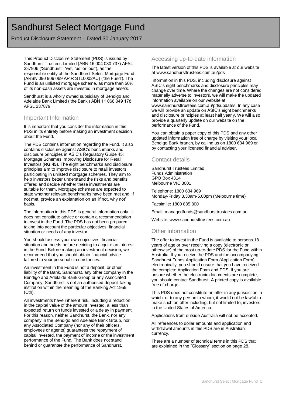# Sandhurst Select Mortgage Fund

Product Disclosure Statement – Dated 30 January 2017

This Product Disclosure Statement (PDS) is issued by Sandhurst Trustees Limited (ABN 16 004 030 737) AFSL 237906 ('Sandhurst', 'we', 'us' or 'our'), as the responsible entity of the Sandhurst Select Mortgage Fund (ARSN 090 909 069 APIR STL0002AU) ('the Fund'). The Fund is an unlisted mortgage scheme, as more than 50% of its non-cash assets are invested in mortgage assets.

Sandhurst is a wholly owned subsidiary of Bendigo and Adelaide Bank Limited ('the Bank') ABN 11 068 049 178 AFSL 237879.

## Important Information

It is important that you consider the information in this PDS in its entirety before making an investment decision about the Fund.

The PDS contains information regarding the Fund. It also contains disclosure against ASIC's benchmarks and disclosure principles in ASIC's Regulatory Guide 45: Mortgage Schemes Improving Disclosure for Retail Investors (**RG 45**). The eight benchmarks and disclosure principles aim to improve disclosure to retail investors participating in unlisted mortgage schemes. They aim to help investors better understand the risks and benefits offered and decide whether these investments are suitable for them. Mortgage schemes are expected to state whether relevant benchmarks have been met and, if not met, provide an explanation on an 'if not, why not' basis.

The information in this PDS is general information only. It does not constitute advice or contain a recommendation to invest in the Fund. The PDS has not been prepared taking into account the particular objectives, financial situation or needs of any investor.

You should assess your own objectives, financial situation and needs before deciding to acquire an interest in the Fund. Before making an investment decision, we recommend that you should obtain financial advice tailored to your personal circumstances.

An investment in the Fund is not a deposit, or other liability of the Bank, Sandhurst, any other company in the Bendigo and Adelaide Bank Group or any Associated Company. Sandhurst is not an authorised deposit taking institution within the meaning of the Banking Act 1959 (Cth).

All investments have inherent risk, including a reduction in the capital value of the amount invested, a less than expected return on funds invested or a delay in payment. For this reason, neither Sandhurst, the Bank, nor any company in the Bendigo and Adelaide Bank Group, nor any Associated Company (nor any of their officers, employees or agents) guarantees the repayment of capital invested, the payment of income or the investment performance of the Fund. The Bank does not stand behind or guarantee the performance of Sandhurst.

# Accessing up-to-date information

The latest version of this PDS is available at our website a[t www.sandhursttrustees.com.au/pds](http://www.sandhursttrustees.com.au/pds)

Information in this PDS, including disclosure against ASIC's eight benchmarks and disclosure principles may change over time. Where the changes are not considered materially adverse to investors, we will make the updated information available on our website at [www.sandhursttrustees.com.au/pdsupdates.](http://www.sandhursttrustees.com.au/pdsupdates) In any case we will provide an update on ASIC's eight benchmarks and disclosure principles at least half yearly. We will also provide a quarterly update on our website on the performance of the Fund.

You can obtain a paper copy of this PDS and any other updated information free of charge by visiting your local Bendigo Bank branch, by calling us on 1800 634 969 or by contacting your licensed financial adviser.

# Contact details

Sandhurst Trustees Limited Funds Administration GPO Box 4314 Melbourne VIC 3001

Telephone: 1800 634 969 Monday-Friday 8.30am-5.00pm (Melbourne time)

Facsimile: 1800 835 800

Email: [managedfunds@sandhursttrustees.com.au](mailto:managedfunds@sandhursttrustees.com.au)

Website: [www.sandhursttrustees.com.au](http://www.sandhursttrustees.com.au/)

# Other information

The offer to invest in the Fund is available to persons 18 years of age or over receiving a copy (electronic or otherwise) of the most up-to-date PDS for the Fund within Australia. If you receive the PDS and the accompanying Sandhurst Funds Application Form (Application Form) electronically, you should ensure that you have received the complete Application Form and PDS. If you are unsure whether the electronic documents are complete, you should contact Sandhurst. A printed copy is available free of charge.

This PDS does not constitute an offer in any jurisdiction in which, or to any person to whom, it would not be lawful to make such an offer including, but not limited to, investors in the United States of America.

Applications from outside Australia will not be accepted.

All references to dollar amounts and application and withdrawal amounts in this PDS are in Australian currency.

There are a number of technical terms in this PDS that are explained in the "Glossary" section on page 28.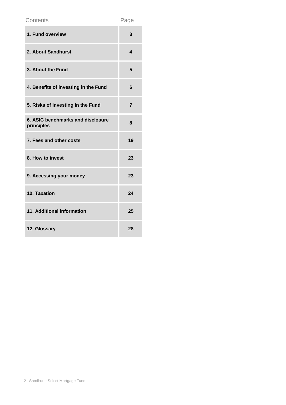# Contents Page

| ۰. | ٠<br>× | . . |
|----|--------|-----|
|    |        |     |

| 1. Fund overview                                | 3  |
|-------------------------------------------------|----|
| 2. About Sandhurst                              | 4  |
| 3. About the Fund                               | 5  |
| 4. Benefits of investing in the Fund            | 6  |
| 5. Risks of investing in the Fund               | 7  |
| 6. ASIC benchmarks and disclosure<br>principles | 8  |
| 7. Fees and other costs                         | 19 |
| 8. How to invest                                | 23 |
| 9. Accessing your money                         | 23 |
| 10. Taxation                                    | 24 |
| 11. Additional information                      | 25 |
| 12. Glossary                                    | 28 |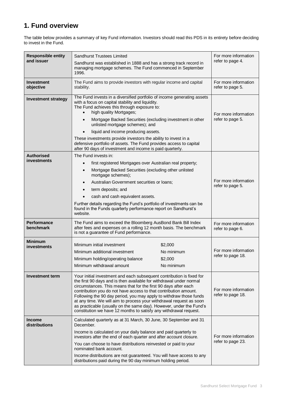# **1. Fund overview**

The table below provides a summary of key Fund information. Investors should read this PDS in its entirety before deciding to invest in the Fund.

| <b>Responsible entity</b>      | Sandhurst Trustees Limited                                                                                                                   | For more information                      |
|--------------------------------|----------------------------------------------------------------------------------------------------------------------------------------------|-------------------------------------------|
| and issuer                     | Sandhurst was established in 1888 and has a strong track record in                                                                           | refer to page 4.                          |
|                                | managing mortgage schemes. The Fund commenced in September<br>1996.                                                                          |                                           |
|                                |                                                                                                                                              |                                           |
| <b>Investment</b><br>objective | The Fund aims to provide investors with regular income and capital<br>stability.                                                             | For more information<br>refer to page 5.  |
| <b>Investment strategy</b>     | The Fund invests in a diversified portfolio of income generating assets<br>with a focus on capital stability and liquidity.                  |                                           |
|                                | The Fund achieves this through exposure to:<br>high quality Mortgages;<br>$\bullet$                                                          | For more information                      |
|                                | Mortgage Backed Securities (excluding investment in other<br>unlisted mortgage schemes); and                                                 | refer to page 5.                          |
|                                | liquid and income producing assets.<br>$\bullet$                                                                                             |                                           |
|                                | These investments provide investors the ability to invest in a                                                                               |                                           |
|                                | defensive portfolio of assets. The Fund provides access to capital<br>after 90 days of investment and income is paid quarterly.              |                                           |
| <b>Authorised</b>              | The Fund invests in:                                                                                                                         |                                           |
| investments                    | first registered Mortgages over Australian real property;                                                                                    |                                           |
|                                | Mortgage Backed Securities (excluding other unlisted<br>$\bullet$<br>mortgage schemes);                                                      |                                           |
|                                | Australian Government securities or loans;<br>$\bullet$                                                                                      | For more information<br>refer to page 5.  |
|                                | term deposits; and<br>$\bullet$                                                                                                              |                                           |
|                                | cash and cash equivalent assets.<br>$\bullet$                                                                                                |                                           |
|                                | Further details regarding the Fund's portfolio of investments can be                                                                         |                                           |
|                                | found in the Funds quarterly performance report on Sandhurst's<br>website.                                                                   |                                           |
| <b>Performance</b>             | The Fund aims to exceed the Bloomberg AusBond Bank Bill Index                                                                                | For more information                      |
| benchmark                      | after fees and expenses on a rolling 12 month basis. The benchmark<br>is not a guarantee of Fund performance.                                | refer to page 6.                          |
| <b>Minimum</b>                 |                                                                                                                                              |                                           |
| investments                    | Minimum initial investment<br>\$2,000                                                                                                        | For more information                      |
|                                | Minimum additional investment<br>No minimum                                                                                                  | refer to page 18.                         |
|                                | Minimum holding/operating balance<br>\$2,000<br>Minimum withdrawal amount<br>No minimum                                                      |                                           |
|                                |                                                                                                                                              |                                           |
| <b>Investment term</b>         | Your initial investment and each subsequent contribution is fixed for<br>the first 90 days and is then available for withdrawal under normal |                                           |
|                                | circumstances. This means that for the first 90 days after each                                                                              |                                           |
|                                | contribution you do not have access to that contribution amount.                                                                             | For more information<br>refer to page 18. |
|                                | Following the 90 day period, you may apply to withdraw those funds<br>at any time. We will aim to process your withdrawal request as soon    |                                           |
|                                | as practicable (usually on the same day). However, under the Fund's                                                                          |                                           |
|                                | constitution we have 12 months to satisfy any withdrawal request.                                                                            |                                           |
| <b>Income</b><br>distributions | Calculated quarterly as at 31 March, 30 June, 30 September and 31<br>December.                                                               |                                           |
|                                | Income is calculated on your daily balance and paid quarterly to<br>investors after the end of each quarter and after account closure.       | For more information                      |
|                                | You can choose to have distributions reinvested or paid to your<br>nominated bank account.                                                   | refer to page 23.                         |
|                                | Income distributions are not guaranteed. You will have access to any<br>distributions paid during the 90 day minimum holding period.         |                                           |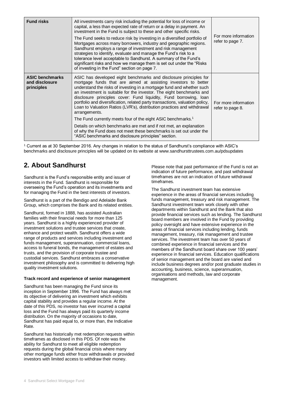| <b>Fund risks</b>                                      | All investments carry risk including the potential for loss of income or<br>capital, a less than expected rate of return or a delay in payment. An<br>investment in the Fund is subject to these and other specific risks.<br>The Fund seeks to reduce risk by investing in a diversified portfolio of<br>Mortgages across many borrowers, industry and geographic regions.<br>Sandhurst employs a range of investment and risk management<br>strategies to identify, evaluate and manage the Fund's risk to a<br>tolerance level acceptable to Sandhurst. A summary of the Fund's<br>significant risks and how we manage them is set out under the "Risks"<br>of investing in the Fund" section on page 7.                                                                                                            | For more information<br>refer to page 7. |
|--------------------------------------------------------|------------------------------------------------------------------------------------------------------------------------------------------------------------------------------------------------------------------------------------------------------------------------------------------------------------------------------------------------------------------------------------------------------------------------------------------------------------------------------------------------------------------------------------------------------------------------------------------------------------------------------------------------------------------------------------------------------------------------------------------------------------------------------------------------------------------------|------------------------------------------|
| <b>ASIC benchmarks</b><br>and disclosure<br>principles | ASIC has developed eight benchmarks and disclosure principles for<br>mortgage funds that are aimed at assisting investors to better<br>understand the risks of investing in a mortgage fund and whether such<br>an investment is suitable for the investor. The eight benchmarks and<br>disclosure principles cover: Fund liquidity, Fund borrowing, Ioan<br>portfolio and diversification, related party transactions, valuation policy,<br>Loan to Valuation Ratios (LVR's), distribution practices and withdrawal<br>arrangements.<br>The Fund currently meets four of the eight ASIC benchmarks. <sup>1</sup><br>Details on which benchmarks are met and if not met, an explanation<br>of why the Fund does not meet these benchmarks is set out under the<br>"ASIC benchmarks and disclosure principles" section. | For more information<br>refer to page 8. |

<sup>1</sup> Current as at 30 September 2016. Any changes in relation to the status of Sandhurst's compliance with ASIC's benchmarks and disclosure principles will be updated on its website at www.sandhursttrustees.com.au/pdsupdates

# **2. About Sandhurst**

Sandhurst is the Fund's responsible entity and issuer of interests in the Fund. Sandhurst is responsible for overseeing the Fund's operation and its investments and for managing the Fund in the best interests of investors.

Sandhurst is a part of the Bendigo and Adelaide Bank Group, which comprises the Bank and its related entities.

Sandhurst, formed in 1888, has assisted Australian families with their financial needs for more than 125 years. Sandhurst is a highly experienced provider of investment solutions and trustee services that create, enhance and protect wealth. Sandhurst offers a wide range of products and services including investment and funds management, superannuation, commercial loans, access to funeral bonds, the management of estates and trusts, and the provision of corporate trustee and custodial services. Sandhurst embraces a conservative investment philosophy and is committed to delivering high quality investment solutions.

#### **Track record and experience of senior management**

Sandhurst has been managing the Fund since its inception in September 1996. The Fund has always met its objective of delivering an investment which exhibits capital stability and provides a regular income. At the date of this PDS, no investor has ever incurred a capital loss and the Fund has always paid its quarterly income distribution. On the majority of occasions to date, Sandhurst has paid equal to, or more than, the Indicative Rate.

Sandhurst has historically met redemption requests within timeframes as disclosed in this PDS. Of note was the ability for Sandhurst to meet all eligible redemption requests during the global financial crisis where many other mortgage funds either froze withdrawals or provided investors with limited access to withdraw their money.

Please note that past performance of the Fund is not an indication of future performance, and past withdrawal timeframes are not an indication of future withdrawal timeframes.

The Sandhurst investment team has extensive experience in the areas of financial services including funds management, treasury and risk management. The Sandhurst investment team work closely with other departments within Sandhurst and the Bank that also provide financial services such as lending. The Sandhurst board members are involved in the Fund by providing policy oversight and have extensive experience in the areas of financial services including lending, funds management, treasury, risk management and trustee services. The investment team has over 50 years of combined experience in financial services and the members of the Sandhurst board share over 100 years' experience in financial services. Education qualifications of senior management and the board are varied and include business degrees and/or post graduate studies in accounting, business, science, superannuation, organisations and methods, law and corporate management.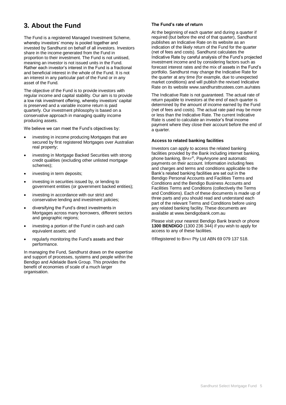# **3. About the Fund**

The Fund is a registered Managed Investment Scheme, whereby investors' money is pooled together and invested by Sandhurst on behalf of all investors. Investors share in the income generated from the Fund in proportion to their investment. The Fund is not unitised, meaning an investor is not issued units in the Fund. Rather each investor's interest in the Fund is a fractional and beneficial interest in the whole of the Fund. It is not an interest in any particular part of the Fund or in any asset of the Fund.

The objective of the Fund is to provide investors with regular income and capital stability. Our aim is to provide a low risk investment offering, whereby investors' capital is preserved and a variable income return is paid quarterly. Our investment philosophy is based on a conservative approach in managing quality income producing assets.

We believe we can meet the Fund's objectives by:

- investing in income producing Mortgages that are secured by first registered Mortgages over Australian real property;
- investing in Mortgage Backed Securities with strong credit qualities (excluding other unlisted mortgage schemes);
- investing in term deposits;
- investing in securities issued by, or lending to government entities (or government backed entities);
- investing in accordance with our strict and conservative lending and investment policies;
- diversifying the Fund's direct investments in Mortgages across many borrowers, different sectors and geographic regions;
- investing a portion of the Fund in cash and cash equivalent assets; and
- regularly monitoring the Fund's assets and their performance.

In managing the Fund, Sandhurst draws on the expertise and support of processes, systems and people within the Bendigo and Adelaide Bank Group. This provides the benefit of economies of scale of a much larger organisation.

#### **The Fund's rate of return**

At the beginning of each quarter and during a quarter if required (but before the end of that quarter), Sandhurst publishes an Indicative Rate on its website as an indication of the likely return of the Fund for the quarter (net of fees and costs). Sandhurst calculates the Indicative Rate by careful analysis of the Fund's projected investment income and by considering factors such as forecast interest rates and the mix of assets in the Fund's portfolio. Sandhurst may change the Indicative Rate for the quarter at any time (for example, due to unexpected market conditions) and will publish the revised Indicative Rate on its website www.sandhursttrustees.com.au/rates

The Indicative Rate is not guaranteed. The actual rate of return payable to investors at the end of each quarter is determined by the amount of income earned by the Fund (net of fees and costs). The actual rate paid may be more or less than the Indicative Rate. The current Indicative Rate is used to calculate an investor's final income payment where they close their account before the end of a quarter.

#### **Access to related banking facilities**

Investors can apply to access the related banking facilities provided by the Bank including internet banking, phone banking, BPAY®, PayAnyone and automatic payments on their account. Information including fees and charges and terms and conditions applicable to the Bank's related banking facilities are set out in the Bendigo Personal Accounts and Facilities Terms and Conditions and the Bendigo Business Accounts and Facilities Terms and Conditions (collectively the Terms and Conditions). Each of these documents is made up of three parts and you should read and understand each part of the relevant Terms and Conditions before using any related banking facility. These documents are available a[t www.bendigobank.com.au](http://www.bendigobank.com.au/)

Please visit your nearest Bendigo Bank branch or phone **1300 BENDIGO** (1300 236 344) if you wish to apply for access to any of these facilities.

®Registered to BPAY Pty Ltd ABN 69 079 137 518.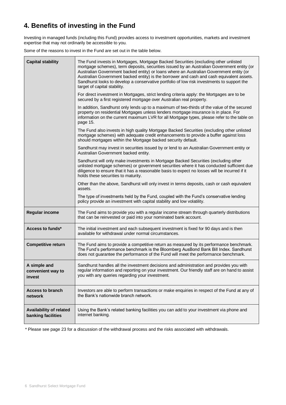# **4. Benefits of investing in the Fund**

Investing in managed funds (including this Fund) provides access to investment opportunities, markets and investment expertise that may not ordinarily be accessible to you.

Some of the reasons to invest in the Fund are set out in the table below.

| <b>Capital stability</b>                             | The Fund invests in Mortgages, Mortgage Backed Securities (excluding other unlisted<br>mortgage schemes), term deposits, securities issued by an Australian Government entity (or<br>Australian Government backed entity) or loans where an Australian Government entity (or<br>Australian Government backed entity) is the borrower and cash and cash equivalent assets.<br>Sandhurst looks to develop a conservative portfolio of low risk investments to support the<br>target of capital stability.<br>For direct investment in Mortgages, strict lending criteria apply: the Mortgages are to be<br>secured by a first registered mortgage over Australian real property.<br>In addition, Sandhurst only lends up to a maximum of two-thirds of the value of the secured<br>property on residential Mortgages unless lenders mortgage insurance is in place. For<br>information on the current maximum LVR for all Mortgage types, please refer to the table on<br>page 15.<br>The Fund also invests in high quality Mortgage Backed Securities (excluding other unlisted<br>mortgage schemes) with adequate credit enhancements to provide a buffer against loss<br>should mortgages within the Mortgage backed security default.<br>Sandhurst may invest in securities issued by or lend to an Australian Government entity or<br>Australian Government backed entity. |
|------------------------------------------------------|-------------------------------------------------------------------------------------------------------------------------------------------------------------------------------------------------------------------------------------------------------------------------------------------------------------------------------------------------------------------------------------------------------------------------------------------------------------------------------------------------------------------------------------------------------------------------------------------------------------------------------------------------------------------------------------------------------------------------------------------------------------------------------------------------------------------------------------------------------------------------------------------------------------------------------------------------------------------------------------------------------------------------------------------------------------------------------------------------------------------------------------------------------------------------------------------------------------------------------------------------------------------------------------------------------------------------------------------------------------------------------|
|                                                      | Sandhurst will only make investments in Mortgage Backed Securities (excluding other<br>unlisted mortgage schemes) or government securities where it has conducted sufficient due<br>diligence to ensure that it has a reasonable basis to expect no losses will be incurred if it<br>holds these securities to maturity.                                                                                                                                                                                                                                                                                                                                                                                                                                                                                                                                                                                                                                                                                                                                                                                                                                                                                                                                                                                                                                                      |
|                                                      | Other than the above, Sandhurst will only invest in terms deposits, cash or cash equivalent<br>assets.                                                                                                                                                                                                                                                                                                                                                                                                                                                                                                                                                                                                                                                                                                                                                                                                                                                                                                                                                                                                                                                                                                                                                                                                                                                                        |
|                                                      | The type of investments held by the Fund, coupled with the Fund's conservative lending<br>policy provide an investment with capital stability and low volatility.                                                                                                                                                                                                                                                                                                                                                                                                                                                                                                                                                                                                                                                                                                                                                                                                                                                                                                                                                                                                                                                                                                                                                                                                             |
| <b>Regular income</b>                                | The Fund aims to provide you with a regular income stream through quarterly distributions<br>that can be reinvested or paid into your nominated bank account.                                                                                                                                                                                                                                                                                                                                                                                                                                                                                                                                                                                                                                                                                                                                                                                                                                                                                                                                                                                                                                                                                                                                                                                                                 |
| Access to funds*                                     | The initial investment and each subsequent investment is fixed for 90 days and is then<br>available for withdrawal under normal circumstances.                                                                                                                                                                                                                                                                                                                                                                                                                                                                                                                                                                                                                                                                                                                                                                                                                                                                                                                                                                                                                                                                                                                                                                                                                                |
| <b>Competitive return</b>                            | The Fund aims to provide a competitive return as measured by its performance benchmark.<br>The Fund's performance benchmark is the Bloomberg AusBond Bank Bill Index. Sandhurst<br>does not guarantee the performance of the Fund will meet the performance benchmark.                                                                                                                                                                                                                                                                                                                                                                                                                                                                                                                                                                                                                                                                                                                                                                                                                                                                                                                                                                                                                                                                                                        |
| A simple and<br>convenient way to<br>invest          | Sandhurst handles all the investment decisions and administration and provides you with<br>regular information and reporting on your investment. Our friendly staff are on hand to assist<br>you with any queries regarding your investment.                                                                                                                                                                                                                                                                                                                                                                                                                                                                                                                                                                                                                                                                                                                                                                                                                                                                                                                                                                                                                                                                                                                                  |
| <b>Access to branch</b><br>network                   | Investors are able to perform transactions or make enquiries in respect of the Fund at any of<br>the Bank's nationwide branch network.                                                                                                                                                                                                                                                                                                                                                                                                                                                                                                                                                                                                                                                                                                                                                                                                                                                                                                                                                                                                                                                                                                                                                                                                                                        |
| <b>Availability of related</b><br>banking facilities | Using the Bank's related banking facilities you can add to your investment via phone and<br>internet banking.                                                                                                                                                                                                                                                                                                                                                                                                                                                                                                                                                                                                                                                                                                                                                                                                                                                                                                                                                                                                                                                                                                                                                                                                                                                                 |

\* Please see page 23 for a discussion of the withdrawal process and the risks associated with withdrawals.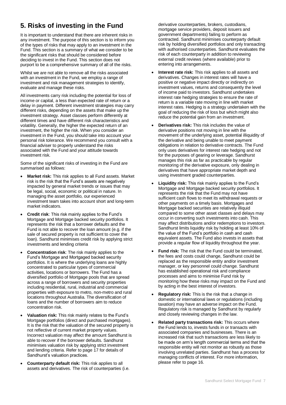# **5. Risks of investing in the Fund**

It is important to understand that there are inherent risks in any investment. The purpose of this section is to inform you of the types of risks that may apply to an investment in the Fund. This section is a summary of what we consider to be the significant risks that should be considered before deciding to invest in the Fund. This section does not purport to be a comprehensive summary of all of the risks.

Whilst we are not able to remove all the risks associated with an investment in the Fund, we employ a range of investment and risk management strategies to identify, evaluate and manage these risks.

All investments carry risk including the potential for loss of income or capital, a less than expected rate of return or a delay in payment. Different investment strategies may carry different risks, depending on the assets that make up the investment strategy. Asset classes perform differently at different times and have different risk characteristics and volatility. Generally, the higher the expected return of an investment, the higher the risk. When you consider an investment in the Fund, you should take into account your personal risk tolerance. We recommend you consult with a financial adviser to properly understand the risks associated with the Fund and your attitude towards investment risk.

Some of the significant risks of investing in the Fund are summarised as follows:

- **Market risk:** This risk applies to all Fund assets. Market risk is the risk that the Fund's assets are negatively impacted by general market trends or issues that may be legal, social, economic or political in nature. In managing the asset portfolio, our experienced investment team takes into account short and long-term market indicators.
- **Credit risk**: This risk mainly applies to the Fund's Mortgage and Mortgage backed security portfolios. It represents the risk that a borrower defaults and the Fund is not able to recover the loan amount (e.g. if the sale of secured property is not sufficient to cover the loan). Sandhurst minimises credit risk by applying strict investments and lending criteria
- **Concentration risk**: The risk mainly applies to the Fund's Mortgage and Mortgaged backed security portfolios. It is where the underlying loans are highly concentrated to particular types of commercial activities, locations or borrowers. The Fund has a diversified portfolio of Mortgage pools that are spread across a range of borrowers and security properties including residential, rural, industrial and commercial properties with exposure to metro, non-metro and rural locations throughout Australia. The diversification of loans and the number of borrowers aim to reduce concentration risk.
- **Valuation risk:** This risk mainly relates to the Fund's Mortgage portfolios (direct and purchased mortgages). It is the risk that the valuation of the secured property is not reflective of current market property values. Incorrect valuation may affect the amount Sandhurst is able to recover if the borrower defaults. Sandhurst minimises valuation risk by applying strict investment and lending criteria. Refer to page 17 for details of Sandhurst's valuation practices.
- **Counterparty default risk:** This risk applies to all assets and derivatives. The risk of counterparties (i.e.

derivative counterparties, brokers, custodians, mortgage service providers, deposit issuers and government departments) failing to perform as contracted. Sandhurst minimises counterparty default risk by holding diversified portfolios and only transacting with authorised counterparties. Sandhurst evaluates the risk of each counterparty in addition to reviewing external credit reviews (where available) prior to entering into arrangements.

- **Interest rate risk:** This risk applies to all assets and derivatives. Changes in interest rates will have a positive or negative impact directly or indirectly on investment values, returns and consequently the level of income paid to investors. Sandhurst undertakes interest rate hedging strategies to ensure the rate of return is a variable rate moving in line with market interest rates. Hedging is a strategy undertaken with the goal of reducing the risk of loss but which might also reduce the potential gain from an investment.
- **Derivatives risk:** This risk includes the value of derivative positions not moving in line with the movement of the underlying asset, potential illiquidity of the derivative and being unable to meet payment obligations in relation to derivative contracts. The Fund only uses derivatives for interest rate hedging and not for the purposes of gearing or leverage. Sandhurst manages this risk as far as practicable by regular monitoring of the derivative exposure, only dealing in derivatives that have appropriate market depth and using investment graded counterparties.
- **Liquidity risk:** This risk mainly applies to the Fund's Mortgage and Mortgage backed security portfolios. It represents the risk that the Fund may not have sufficient cash flows to meet its withdrawal requests or other payments on a timely basis. Mortgages and Mortgage backed securities are relatively illiquid compared to some other asset classes and delays may occur in converting such investments into cash. This may affect distributions and/or redemptions to investors. Sandhurst limits liquidity risk by holding at least 10% of the value of the Fund's portfolio in cash and cash equivalent assets. The Fund also invests in assets that provide a regular flow of liquidity throughout the year.
- **Fund risk:** The risk that the Fund could be terminated, the fees and costs could change, Sandhurst could be replaced as the responsible entity and/or investment manager, or key personnel could change. Sandhurst has established operational risk and compliance processes and aims to minimise Fund risk by monitoring how these risks may impact on the Fund and by acting in the best interest of investors.
- **Regulatory risk:** This is the risk that a change in domestic or international laws or regulations (including taxation) may have an adverse impact on the Fund. Regulatory risk is managed by Sandhurst by regularly and closely reviewing changes in the law.
- **Related party transactions risk:** This occurs where the Fund lends to, invests funds in or transacts with associated companies and businesses. There is an increased risk that such transactions are less likely to be made on arm's length commercial terms and that the responsible entity will not monitor as robustly as those involving unrelated parties. Sandhurst has a process for managing conflicts of interest. For more information, please refer to page 16.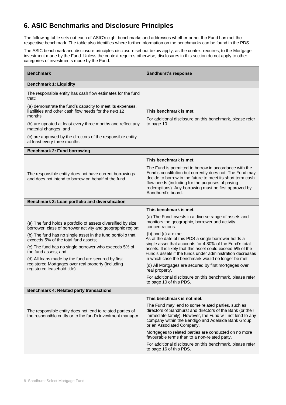# **6. ASIC Benchmarks and Disclosure Principles**

The following table sets out each of ASIC's eight benchmarks and addresses whether or not the Fund has met the respective benchmark. The table also identifies where further information on the benchmarks can be found in the PDS.

The ASIC benchmark and disclosure principles disclosure set out below apply, as the context requires, to the Mortgage investment made by the Fund. Unless the context requires otherwise, disclosures in this section do not apply to other categories of investments made by the Fund.

| <b>Benchmark</b>                                                                                                              | Sandhurst's response                                                                                                                                                                                                                                                                                                |  |
|-------------------------------------------------------------------------------------------------------------------------------|---------------------------------------------------------------------------------------------------------------------------------------------------------------------------------------------------------------------------------------------------------------------------------------------------------------------|--|
| <b>Benchmark 1: Liquidity</b>                                                                                                 |                                                                                                                                                                                                                                                                                                                     |  |
| The responsible entity has cash flow estimates for the fund<br>that:                                                          |                                                                                                                                                                                                                                                                                                                     |  |
| (a) demonstrate the fund's capacity to meet its expenses,<br>liabilities and other cash flow needs for the next 12<br>months: | This benchmark is met.<br>For additional disclosure on this benchmark, please refer                                                                                                                                                                                                                                 |  |
| (b) are updated at least every three months and reflect any<br>material changes; and                                          | to page 10.                                                                                                                                                                                                                                                                                                         |  |
| (c) are approved by the directors of the responsible entity<br>at least every three months.                                   |                                                                                                                                                                                                                                                                                                                     |  |
| <b>Benchmark 2: Fund borrowing</b>                                                                                            |                                                                                                                                                                                                                                                                                                                     |  |
|                                                                                                                               | This benchmark is met.                                                                                                                                                                                                                                                                                              |  |
| The responsible entity does not have current borrowings<br>and does not intend to borrow on behalf of the fund.               | The Fund is permitted to borrow in accordance with the<br>Fund's constitution but currently does not. The Fund may<br>decide to borrow in the future to meet its short term cash<br>flow needs (including for the purposes of paying<br>redemptions). Any borrowing must be first approved by<br>Sandhurst's board. |  |
| Benchmark 3: Loan portfolio and diversification                                                                               |                                                                                                                                                                                                                                                                                                                     |  |
|                                                                                                                               | This benchmark is met.                                                                                                                                                                                                                                                                                              |  |
| (a) The fund holds a portfolio of assets diversified by size,<br>borrower, class of borrower activity and geographic region;  | (a) The Fund invests in a diverse range of assets and<br>monitors the geographic, borrower and activity<br>concentrations.                                                                                                                                                                                          |  |
| (b) The fund has no single asset in the fund portfolio that<br>exceeds 5% of the total fund assets;                           | (b) and $(c)$ are met.<br>As at the date of this PDS a single borrower holds a                                                                                                                                                                                                                                      |  |
| (c) The fund has no single borrower who exceeds 5% of<br>the fund assets; and                                                 | single asset that accounts for 4.80% of the Fund's total<br>assets. It is likely that this asset could exceed 5% of the<br>Fund's assets if the funds under administration decreases                                                                                                                                |  |
| (d) All loans made by the fund are secured by first                                                                           | in which case the benchmark would no longer be met.                                                                                                                                                                                                                                                                 |  |
| registered Mortgages over real property (including<br>registered leasehold title).                                            | (d) All Mortgages are secured by first mortgages over<br>real property.                                                                                                                                                                                                                                             |  |
|                                                                                                                               | For additional disclosure on this benchmark, please refer<br>to page 10 of this PDS.                                                                                                                                                                                                                                |  |
| <b>Benchmark 4: Related party transactions</b>                                                                                |                                                                                                                                                                                                                                                                                                                     |  |
|                                                                                                                               | This benchmark is not met.                                                                                                                                                                                                                                                                                          |  |
| The responsible entity does not lend to related parties of<br>the responsible entity or to the fund's investment manager.     | The Fund may lend to some related parties, such as<br>directors of Sandhurst and directors of the Bank (or their<br>immediate family). However, the Fund will not lend to any<br>company within the Bendigo and Adelaide Bank Group<br>or an Associated Company.                                                    |  |
|                                                                                                                               | Mortgages to related parties are conducted on no more<br>favourable terms than to a non-related party.                                                                                                                                                                                                              |  |
|                                                                                                                               | For additional disclosure on this benchmark, please refer<br>to page 16 of this PDS.                                                                                                                                                                                                                                |  |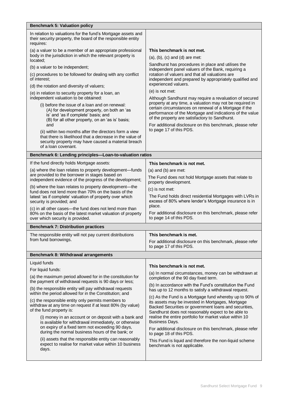| <b>Benchmark 5: Valuation policy</b>                                                                                                                                                                  |                                                                                                                                                                                                                                                                                              |  |
|-------------------------------------------------------------------------------------------------------------------------------------------------------------------------------------------------------|----------------------------------------------------------------------------------------------------------------------------------------------------------------------------------------------------------------------------------------------------------------------------------------------|--|
| In relation to valuations for the fund's Mortgage assets and<br>their security property, the board of the responsible entity<br>requires:                                                             |                                                                                                                                                                                                                                                                                              |  |
| (a) a valuer to be a member of an appropriate professional<br>body in the jurisdiction in which the relevant property is<br>located:                                                                  | This benchmark is not met.<br>$(a)$ , $(b)$ , $(c)$ and $(d)$ are met:                                                                                                                                                                                                                       |  |
| (b) a valuer to be independent;                                                                                                                                                                       | Sandhurst has procedures in place and utilises the                                                                                                                                                                                                                                           |  |
| (c) procedures to be followed for dealing with any conflict<br>of interest:                                                                                                                           | independent panel valuers of the Bank, requiring a<br>rotation of valuers and that all valuations are<br>independent and prepared by appropriately qualified and                                                                                                                             |  |
| (d) the rotation and diversity of valuers;                                                                                                                                                            | experienced valuers.                                                                                                                                                                                                                                                                         |  |
| (e) in relation to security property for a loan, an<br>independent valuation to be obtained:                                                                                                          | (e) is not met:<br>Although Sandhurst may require a revaluation of secured                                                                                                                                                                                                                   |  |
| (i) before the issue of a loan and on renewal:<br>(A) for development property, on both an 'as<br>is' and 'as if complete' basis; and<br>(B) for all other property, on an 'as is' basis;<br>and      | property at any time, a valuation may not be required in<br>certain circumstances on renewal of a Mortgage if the<br>performance of the Mortgage and indications of the value<br>of the property are satisfactory to Sandhurst.<br>For additional disclosure on this benchmark, please refer |  |
| (ii) within two months after the directors form a view<br>that there is likelihood that a decrease in the value of<br>security property may have caused a material breach<br>of a loan covenant.      | to page 17 of this PDS.                                                                                                                                                                                                                                                                      |  |
| Benchmark 6: Lending principles-Loan-to-valuation ratios                                                                                                                                              |                                                                                                                                                                                                                                                                                              |  |
| If the fund directly holds Mortgage assets:                                                                                                                                                           | This benchmark is not met.                                                                                                                                                                                                                                                                   |  |
| (a) where the loan relates to property development-funds                                                                                                                                              | (a) and (b) are met:                                                                                                                                                                                                                                                                         |  |
| are provided to the borrower in stages based on<br>independent evidence of the progress of the development;                                                                                           | The Fund does not hold Mortgage assets that relate to<br>property development.                                                                                                                                                                                                               |  |
| (b) where the loan relates to property development-the<br>fund does not lend more than 70% on the basis of the                                                                                        | (c) is not met:                                                                                                                                                                                                                                                                              |  |
| latest 'as if complete' valuation of property over which<br>security is provided; and                                                                                                                 | The Fund holds direct residential Mortgages with LVRs in<br>excess of 80% where lender's Mortgage insurance is in<br>place.                                                                                                                                                                  |  |
| (c) in all other cases—the fund does not lend more than<br>80% on the basis of the latest market valuation of property<br>over which security is provided.                                            | For additional disclosure on this benchmark, please refer<br>to page 14 of this PDS.                                                                                                                                                                                                         |  |
| <b>Benchmark 7: Distribution practices</b>                                                                                                                                                            |                                                                                                                                                                                                                                                                                              |  |
| The responsible entity will not pay current distributions                                                                                                                                             | This benchmark is met.                                                                                                                                                                                                                                                                       |  |
| from fund borrowings.                                                                                                                                                                                 | For additional disclosure on this benchmark, please refer<br>to page 17 of this PDS.                                                                                                                                                                                                         |  |
| Benchmark 8: Withdrawal arrangements                                                                                                                                                                  |                                                                                                                                                                                                                                                                                              |  |
| Liquid funds                                                                                                                                                                                          | This benchmark is not met.                                                                                                                                                                                                                                                                   |  |
| For liquid funds:                                                                                                                                                                                     | (a) In normal circumstances, money can be withdrawn at                                                                                                                                                                                                                                       |  |
| (a) the maximum period allowed for in the constitution for<br>the payment of withdrawal requests is 90 days or less;                                                                                  | completion of the 90 day fixed term.<br>(b) In accordance with the Fund's constitution the Fund                                                                                                                                                                                              |  |
| (b) the responsible entity will pay withdrawal requests<br>within the period allowed for in the Constitution; and                                                                                     | has up to 12 months to satisfy a withdrawal request.                                                                                                                                                                                                                                         |  |
| (c) the responsible entity only permits members to<br>withdraw at any time on request if at least 80% (by value)<br>of the fund property is:<br>(i) money in an account or on deposit with a bank and | (c) As the Fund is a Mortgage fund whereby up to 90% of<br>its assets may be invested in Mortgages, Mortgage<br>Backed Securities or government loans and securities,<br>Sandhurst does not reasonably expect to be able to<br>realise the entire portfolio for market value within 10       |  |
| is available for withdrawal immediately, or otherwise<br>on expiry of a fixed term not exceeding 90 days,                                                                                             | <b>Business Days.</b><br>For additional disclosure on this benchmark, please refer                                                                                                                                                                                                           |  |
| during the normal business hours of the bank; or                                                                                                                                                      | to page 18 of this PDS.                                                                                                                                                                                                                                                                      |  |
| (ii) assets that the responsible entity can reasonably<br>expect to realise for market value within 10 business<br>days.                                                                              | This Fund is liquid and therefore the non-liquid scheme<br>benchmark is not applicable.                                                                                                                                                                                                      |  |
|                                                                                                                                                                                                       |                                                                                                                                                                                                                                                                                              |  |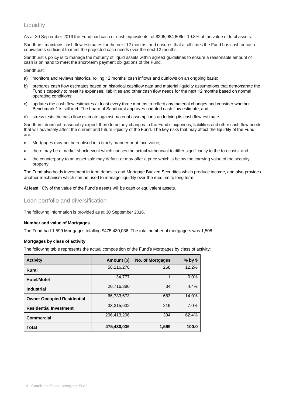# **Liquidity**

As at 30 September 2016 the Fund had cash or cash equivalents, of \$205,984,809or 19.8% of the value of total assets.

Sandhurst maintains cash flow estimates for the next 12 months, and ensures that at all times the Fund has cash or cash equivalents sufficient to meet the projected cash needs over the next 12 months.

Sandhurst's policy is to manage the maturity of liquid assets within agreed guidelines to ensure a reasonable amount of cash is on hand to meet the short-term payment obligations of the Fund.

Sandhurst:

- a) monitors and reviews historical rolling 12 months' cash inflows and outflows on an ongoing basis;
- b) prepares cash flow estimates based on historical cashflow data and material liquidity assumptions that demonstrate the Fund's capacity to meet its expenses, liabilities and other cash flow needs for the next 12 months based on normal operating conditions;
- c) updates the cash flow estimates at least every three months to reflect any material changes and consider whether Benchmark 1 is still met. The board of Sandhurst approves updated cash flow estimate; and
- d) stress tests the cash flow estimate against material assumptions underlying its cash flow estimate.

Sandhurst does not reasonably expect there to be any changes to the Fund's expenses, liabilities and other cash flow needs that will adversely affect the current and future liquidity of the Fund. The key risks that may affect the liquidity of the Fund are:

- Mortgages may not be realised in a timely manner or at face value;
- there may be a market shock event which causes the actual withdrawal to differ significantly to the forecasts; and
- the counterparty to an asset sale may default or may offer a price which is below the carrying value of the security property.

The Fund also holds investment in term deposits and Mortgage Backed Securities which produce income, and also provides another mechanism which can be used to manage liquidity over the medium to long term.

At least 10% of the value of the Fund's assets will be cash or equivalent assets.

Loan portfolio and diversification

The following information is provided as at 30 September 2016.

#### **Number and value of Mortgages**

The Fund had 1,599 Mortgages totalling \$475,430,036. The total number of mortgagors was 1,508.

#### **Mortgages by class of activity**

The following table represents the actual composition of the Fund's Mortgages by class of activity:

| <b>Activity</b>                   | Amount (\$) | <b>No. of Mortgages</b> | $%$ by \$ |
|-----------------------------------|-------------|-------------------------|-----------|
| <b>Rural</b>                      | 58,216,278  | 268                     | 12.2%     |
| <b>Hotel/Motel</b>                | 34,777      | 1                       | 0.0%      |
| <b>Industrial</b>                 | 20,716,380  | 34                      | 4.4%      |
| <b>Owner Occupied Residential</b> | 66,733,673  | 683                     | 14.0%     |
| <b>Residential Investment</b>     | 33,315,632  | 219                     | 7.0%      |
| <b>Commercial</b>                 | 296,413,296 | 394                     | 62.4%     |
| <b>Total</b>                      | 475,430,036 | 1,599                   | 100.0     |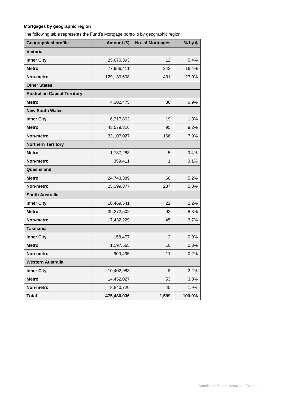# **Mortgages by geographic region**

The following table represents the Fund's Mortgage portfolio by geographic region:

| <b>Geographical profile</b>         | Amount (\$) | <b>No. of Mortgages</b> | % by \$ |  |  |
|-------------------------------------|-------------|-------------------------|---------|--|--|
| <b>Victoria</b>                     |             |                         |         |  |  |
| <b>Inner City</b>                   | 25,670,393  | 12                      | 5.4%    |  |  |
| <b>Metro</b>                        | 77,956,411  | 243                     | 16.4%   |  |  |
| Non-metro                           | 129,130,608 | 431                     | 27.0%   |  |  |
| <b>Other States</b>                 |             |                         |         |  |  |
| <b>Australian Capital Territory</b> |             |                         |         |  |  |
| <b>Metro</b>                        | 4,302,475   | 36                      | 0.9%    |  |  |
| <b>New South Wales</b>              |             |                         |         |  |  |
| <b>Inner City</b>                   | 6,317,802   | 19                      | 1.3%    |  |  |
| <b>Metro</b>                        | 43,579,316  | 95                      | 9.2%    |  |  |
| Non-metro                           | 33,107,027  | 166                     | 7.0%    |  |  |
| <b>Northern Territory</b>           |             |                         |         |  |  |
| <b>Metro</b>                        | 1,737,288   | 5                       | 0.4%    |  |  |
| Non-metro                           | 359,411     | 1                       | 0.1%    |  |  |
| Queensland                          |             |                         |         |  |  |
| <b>Metro</b>                        | 24,743,389  | 66                      | 5.2%    |  |  |
| Non-metro                           | 25,399,377  | 237                     | 5.3%    |  |  |
| <b>South Australia</b>              |             |                         |         |  |  |
| <b>Inner City</b>                   | 10,469,541  | 22                      | 2.2%    |  |  |
| <b>Metro</b>                        | 39,272,502  | 92                      | 8.3%    |  |  |
| Non-metro                           | 17,432,229  | 45                      | 3.7%    |  |  |
| <b>Tasmania</b>                     |             |                         |         |  |  |
| <b>Inner City</b>                   | 158,477     | 2                       | 0.0%    |  |  |
| <b>Metro</b>                        | 1,197,565   | 10                      | 0.3%    |  |  |
| Non-metro                           | 900,495     | 11                      | 0.2%    |  |  |
| <b>Western Australia</b>            |             |                         |         |  |  |
| <b>Inner City</b>                   | 10,402,983  | 8                       | 2.2%    |  |  |
| <b>Metro</b>                        | 14,452,027  | 53                      | 3.0%    |  |  |
| Non-metro                           | 8,840,720   | 45                      | 1.9%    |  |  |
| <b>Total</b>                        | 475,430,036 | 1,599                   | 100.0%  |  |  |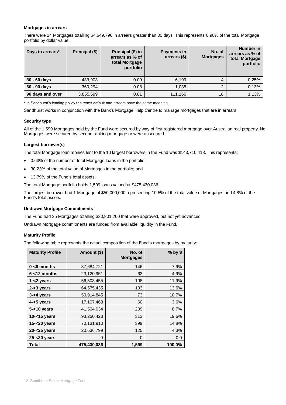#### **Mortgages in arrears**

There were 24 Mortgages totalling \$4,649,796 in arrears greater than 30 days. This represents 0.98% of the total Mortgage portfolio by dollar value.

| Days in arrears* | Principal (\$) | Principal (\$) in<br>arrears as % of<br>total Mortgage<br>portfolio | <b>Payments in</b><br>arrears $(\$)$ | No. of<br><b>Mortgages</b> | Number in<br>arrears as % of<br>total Mortgage<br>portfolio |
|------------------|----------------|---------------------------------------------------------------------|--------------------------------------|----------------------------|-------------------------------------------------------------|
| $30 - 60$ days   | 433,903        | 0.09                                                                | 6,199                                | 4                          | 0.25%                                                       |
| 60 - 90 days     | 360,294        | 0.08                                                                | 1,035                                | 2                          | 0.13%                                                       |
| 90 days and over | 3,855,599      | 0.81                                                                | 111,166                              | 18                         | 1.13%                                                       |

\* In Sandhurst's lending policy the terms default and arrears have the same meaning.

Sandhurst works in conjunction with the Bank's Mortgage Help Centre to manage mortgages that are in arrears.

#### **Security type**

All of the 1,599 Mortgages held by the Fund were secured by way of first registered mortgage over Australian real property. No Mortgages were secured by second ranking mortgage or were unsecured.

#### **Largest borrower(s)**

The total Mortgage loan monies lent to the 10 largest borrowers in the Fund was \$143,710,418. This represents:

- 0.63% of the number of total Mortgage loans in the portfolio;
- 30.23% of the total value of Mortgages in the portfolio; and
- 13.79% of the Fund's total assets.

The total Mortgage portfolio holds 1,599 loans valued at \$475,430,036.

The largest borrower had 1 Mortgage of \$50,000,000 representing 10.5% of the total value of Mortgages and 4.8% of the Fund's total assets.

#### **Undrawn Mortgage Commitments**

The Fund had 25 Mortgages totalling \$20,801,200 that were approved, but not yet advanced.

Undrawn Mortgage commitments are funded from available liquidity in the Fund.

#### **Maturity Profile**

The following table represents the actual composition of the Fund's mortgages by maturity:

| <b>Maturity Profile</b> | Amount (\$) | No. of<br><b>Mortgages</b> | $%$ by \$ |
|-------------------------|-------------|----------------------------|-----------|
| 0-<6 months             | 37,684,721  | 146                        | 7.9%      |
| $6 - 12$ months         | 23,120,951  | 63                         | 4.9%      |
| $1 - 2$ years           | 56,503,455  | 108                        | 11.9%     |
| $2 - 3$ years           | 64,575,435  | 103                        | 13.6%     |
| $3 - 4$ years           | 50,914,845  | 73                         | 10.7%     |
| $4 - 5$ years           | 17,107,463  | 60                         | 3.6%      |
| $5 - 10$ years          | 41,504,034  | 209                        | 8.7%      |
| $10 - 15$ years         | 93,250,423  | 313                        | 19.6%     |
| 15-<20 years            | 70,131,910  | 399                        | 14.8%     |
| $20 - 25$ years         | 20,636,799  | 125                        | 4.3%      |
| $25 - 30$ years         | 0           | 0                          | 0.0       |
| <b>Total</b>            | 475,430,036 | 1,599                      | 100.0%    |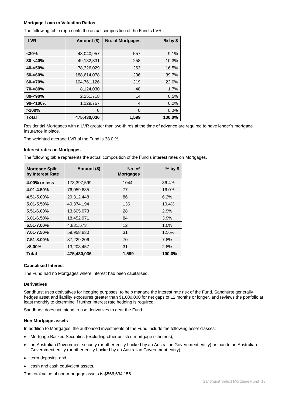#### **Mortgage Loan to Valuation Ratios**

The following table represents the actual composition of the Fund's LVR .

| <b>LVR</b>  | Amount (\$) | <b>No. of Mortgages</b> | $%$ by \$ |
|-------------|-------------|-------------------------|-----------|
|             |             |                         |           |
| $30%$       | 43,040,957  | 557                     | 9.1%      |
| $30 - 40%$  | 49,182,331  | 258                     | 10.3%     |
| $40 - 50%$  | 78,326,029  | 263                     | 16.5%     |
| $50 - 60%$  | 188,614,078 | 236                     | 39.7%     |
| $60 - 70%$  | 104,761,126 | 219                     | 22.0%     |
| 70-<80%     | 8,124,030   | 48                      | 1.7%      |
| $80 - 90\%$ | 2,251,718   | 14                      | 0.5%      |
| $90 - 100%$ | 1,129,767   | 4                       | 0.2%      |
| >100%       | 0           | $\Omega$                | 0.0%      |
| Total       | 475,430,036 | 1,599                   | 100.0%    |

Residential Mortgages with a LVR greater than two-thirds at the time of advance are required to have lender's mortgage insurance in place.

The weighted average LVR of the Fund is 38.0 %.

#### **Interest rates on Mortgages**

The following table represents the actual composition of the Fund's interest rates on Mortgages.

| <b>Mortgage Split</b><br>by Interest Rate | Amount (\$) | No. of<br><b>Mortgages</b> | $%$ by \$ |
|-------------------------------------------|-------------|----------------------------|-----------|
| 4.00% or less                             | 173,397,599 | 1044                       | 36.4%     |
| 4.01-4.50%                                | 76,059,685  | 77                         | 16.0%     |
| 4.51-5.00%                                | 29,312,448  | 86                         | 6.2%      |
| 5.01-5.50%                                | 49,374,194  | 136                        | 10.4%     |
| 5.51-6.00%                                | 13,605,073  | 28                         | 2.9%      |
| $6.01 - 6.50\%$                           | 18,452,971  | 84                         | 3.9%      |
| 6.51-7.00%                                | 4,831,573   | 12                         | 1.0%      |
| 7.01-7.50%                                | 59,958,830  | 31                         | 12.6%     |
| 7.51-8.00%                                | 37,229,206  | 70                         | 7.8%      |
| $>8.00\%$                                 | 13,208,457  | 31                         | 2.8%      |
| Total                                     | 475,430,036 | 1,599                      | 100.0%    |

#### **Capitalised Interest**

The Fund had no Mortgages where interest had been capitalised.

#### **Derivatives**

Sandhurst uses derivatives for hedging purposes, to help manage the interest rate risk of the Fund. Sandhurst generally hedges asset and liability exposures greater than \$1,000,000 for net gaps of 12 months or longer, and reviews the portfolio at least monthly to determine if further interest rate hedging is required.

Sandhurst does not intend to use derivatives to gear the Fund.

#### **Non-Mortgage assets**

In addition to Mortgages, the authorised investments of the Fund include the following asset classes:

- Mortgage Backed Securities (excluding other unlisted mortgage schemes);
- an Australian Government security (or other entity backed by an Australian Government entity) or loan to an Australian Government entity (or other entity backed by an Australian Government entity);
- term deposits; and
- cash and cash equivalent assets.

The total value of non-mortgage assets is \$566,634,156.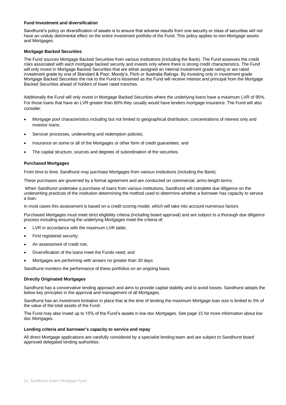#### **Fund Investment and diversification**

Sandhurst's policy on diversification of assets is to ensure that adverse results from one security or class of securities will not have an unduly detrimental effect on the entire investment portfolio of the Fund. This policy applies to non-Mortgage assets and Mortgages.

#### **Mortgage Backed Securities**

The Fund sources Mortgage Backed Securities from various institutions (including the Bank). The Fund assesses the credit risks associated with each mortgage backed security and invests only where there is strong credit characteristics. The Fund will only invest in Mortgage Backed Securities that are either assigned an internal investment grade rating or are rated investment grade by one of Standard & Poor, Moody's, Fitch or Australia Ratings. By investing only in investment grade Mortgage Backed Securities the risk to the Fund is lessened as the Fund will receive interest and principal from the Mortgage Backed Securities ahead of holders of lower rated tranches.

Additionally the Fund will only invest in Mortgage Backed Securities where the underlying loans have a maximum LVR of 95%. For those loans that have an LVR greater than 80% they usually would have lenders mortgage insurance. The Fund will also consider:

- Mortgage pool characteristics including but not limited to geographical distribution, concentrations of interest only and investor loans;
- Servicer processes, underwriting and redemption policies;
- Insurance on some or all of the Mortgages or other form of credit guarantees; and
- The capital structure, sources and degrees of subordination of the securities.

#### **Purchased Mortgages**

From time to time, Sandhurst may purchase Mortgages from various institutions (including the Bank).

These purchases are governed by a formal agreement and are conducted on commercial, arms-length terms.

When Sandhurst undertake a purchase of loans from various institutions, Sandhurst will complete due diligence on the underwriting practices of the institution determining the method used to determine whether a borrower has capacity to service a loan.

In most cases this assessment is based on a credit scoring model, which will take into account numerous factors

Purchased Mortgages must meet strict eligibility criteria (including board approval) and are subject to a thorough due diligence process including ensuring the underlying Mortgages meet the criteria of:

- LVR in accordance with the maximum LVR table;
- First registered security;
- An assessment of credit risk;
- Diversification of the loans meet the Funds need; and
- Mortgages are performing with arrears no greater than 30 days

Sandhurst monitors the performance of these portfolios on an ongoing basis.

#### **Directly Originated Mortgages**

Sandhurst has a conservative lending approach and aims to provide capital stability and to avoid losses. Sandhurst adopts the below key principles in the approval and management of all Mortgages.

Sandhurst has an investment limitation in place that at the time of lending the maximum Mortgage loan size is limited to 5% of the value of the total assets of the Fund.

The Fund may also invest up to 15% of the Fund's assets in low doc Mortgages. See page 15 for more information about low doc Mortgages.

#### **Lending criteria and borrower's capacity to service and repay**

All direct Mortgage applications are carefully considered by a specialist lending team and are subject to Sandhurst board approved delegated lending authorities.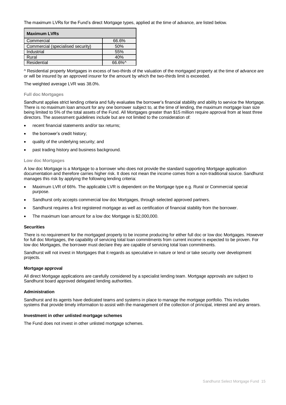The maximum LVRs for the Fund's direct Mortgage types, applied at the time of advance, are listed below.

| <b>Maximum LVRs</b>               |        |  |  |  |
|-----------------------------------|--------|--|--|--|
| Commercial                        | 66.6%  |  |  |  |
| Commercial (specialised security) | 50%    |  |  |  |
| Industrial                        | 55%    |  |  |  |
| Rural                             | 40%    |  |  |  |
| Residential                       | 66.6%^ |  |  |  |

^ Residential property Mortgages in excess of two-thirds of the valuation of the mortgaged property at the time of advance are or will be insured by an approved insurer for the amount by which the two-thirds limit is exceeded.

The weighted average LVR was 38.0%.

#### **Full doc Mortgages**

Sandhurst applies strict lending criteria and fully evaluates the borrower's financial stability and ability to service the Mortgage. There is no maximum loan amount for any one borrower subject to, at the time of lending, the maximum mortgage loan size being limited to 5% of the total assets of the Fund. All Mortgages greater than \$15 million require approval from at least three directors. The assessment guidelines include but are not limited to the consideration of:

- recent financial statements and/or tax returns;
- the borrower's credit history;
- quality of the underlying security; and
- past trading history and business background.

#### **Low doc Mortgages**

A low doc Mortgage is a Mortgage to a borrower who does not provide the standard supporting Mortgage application documentation and therefore carries higher risk. It does not mean the income comes from a non-traditional source. Sandhurst manages this risk by applying the following lending criteria:

- Maximum LVR of 66%. The applicable LVR is dependent on the Mortgage type e.g. Rural or Commercial special purpose.
- Sandhurst only accepts commercial low doc Mortgages, through selected approved partners.
- Sandhurst requires a first registered mortgage as well as certification of financial stability from the borrower.
- The maximum loan amount for a low doc Mortgage is \$2,000,000.

#### **Securities**

There is no requirement for the mortgaged property to be income producing for either full doc or low doc Mortgages. However for full doc Mortgages, the capability of servicing total loan commitments from current income is expected to be proven. For low doc Mortgages, the borrower must declare they are capable of servicing total loan commitments.

Sandhurst will not invest in Mortgages that it regards as speculative in nature or lend or take security over development projects.

#### **Mortgage approval**

All direct Mortgage applications are carefully considered by a specialist lending team. Mortgage approvals are subject to Sandhurst board approved delegated lending authorities.

#### **Administration**

Sandhurst and its agents have dedicated teams and systems in place to manage the mortgage portfolio. This includes systems that provide timely information to assist with the management of the collection of principal, interest and any arrears.

#### **Investment in other unlisted mortgage schemes**

The Fund does not invest in other unlisted mortgage schemes.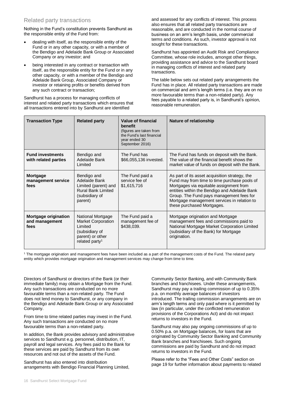# Related party transactions

Nothing in the Fund's constitution prevents Sandhurst as the responsible entity of the Fund from:

- dealing with itself, as the responsible entity of the Fund or in any other capacity, or with a member of the Bendigo and Adelaide Bank Group or Associated Company or any investor; and
- being interested in any contract or transaction with itself, as the responsible entity for the Fund or in any other capacity, or with a member of the Bendigo and Adelaide Bank Group, Associated Company or investor or retaining profits or benefits derived from any such contract or transaction;

Sandhurst has a process for managing conflicts of interest and related party transactions which ensures that all transactions entered into by Sandhurst are identified

and assessed for any conflicts of interest. This process also ensures that all related party transactions are reasonable, and are conducted in the normal course of business on an arm's length basis, under commercial terms and conditions. As such, investor approval is not sought for these transactions.

Sandhurst has appointed an Audit Risk and Compliance Committee, whose role includes, amongst other things, providing assistance and advice to the Sandhurst board in managing conflicts of interest and related party transactions.

The table below sets out related party arrangements the Fund has in place. All related party transactions are made on commercial and arm's length terms (i.e. they are on no more favourable terms than a non-related party). Any fees payable to a related party is, in Sandhurst's opinion, reasonable remuneration.

| <b>Transaction Type</b>                               | <b>Related party</b>                                                                                                          | Value of financial<br>benefit<br>(figures are taken from<br>the Fund's last financial<br>year ended 30<br>September 2016) | Nature of relationship                                                                                                                                                                                                                                                                                              |
|-------------------------------------------------------|-------------------------------------------------------------------------------------------------------------------------------|---------------------------------------------------------------------------------------------------------------------------|---------------------------------------------------------------------------------------------------------------------------------------------------------------------------------------------------------------------------------------------------------------------------------------------------------------------|
| <b>Fund investments</b><br>with related parties       | Bendigo and<br>Adelaide Bank<br>Limited                                                                                       | The Fund has<br>\$66,055,136 invested.                                                                                    | The Fund has funds on deposit with the Bank.<br>The value of the financial benefit shows the<br>market value of funds on deposit with the Bank.                                                                                                                                                                     |
| <b>Mortgage</b><br>management service<br>fees         | Bendigo and<br>Adelaide Bank<br>Limited (parent) and<br><b>Rural Bank Limited</b><br>(subsidiary of<br>parent)                | The Fund paid a<br>service fee of<br>\$1,615,716                                                                          | As part of its asset acquisition strategy, the<br>Fund may from time to time purchase pools of<br>Mortgages via equitable assignment from<br>entities within the Bendigo and Adelaide Bank<br>Group. The Fund pays management fees for<br>Mortgage management services in relation to<br>these purchased Mortgages. |
| <b>Mortgage origination</b><br>and management<br>fees | National Mortgage<br><b>Market Corporation</b><br>Limited<br>(subsidiary of<br>parent) or other<br>related party <sup>1</sup> | The Fund paid a<br>management fee of<br>\$438,039.                                                                        | Mortgage origination and Mortgage<br>management fees and commissions paid to<br>National Mortgage Market Corporation Limited<br>(subsidiary of the Bank) for Mortgage<br>origination.                                                                                                                               |

<sup>1</sup> The mortgage origination and management fees have been included as a part of the management costs of the Fund. The related party entity which provides mortgage origination and management services may change from time to time.

Directors of Sandhurst or directors of the Bank (or their immediate family) may obtain a Mortgage from the Fund. Any such transactions are conducted on no more favourable terms than a non-related party. The Fund does not lend money to Sandhurst, or any company in the Bendigo and Adelaide Bank Group or any Associated Company.

From time to time related parties may invest in the Fund. Any such transactions are conducted on no more favourable terms than a non-related party.

In addition, the Bank provides advisory and administrative services to Sandhurst e.g. personnel, distribution, IT, payroll and legal services. Any fees paid to the Bank for these services are paid by Sandhurst from its own resources and not out of the assets of the Fund.

Sandhurst has also entered into distribution arrangements with Bendigo Financial Planning Limited, Community Sector Banking, and with Community Bank branches and franchisees. Under these arrangements, Sandhurst may pay a trailing commission of up to 0.35% p.a. on monthly average balances of investors introduced. The trailing commission arrangements are on arm's length terms and only paid where is it permitted by law (in particular, under the conflicted remuneration provisions of the Corporations Act) and do not impact returns to investors in the Fund.

Sandhurst may also pay ongoing commissions of up to 0.50% p.a. on Mortgage balances, for loans that are originated by Community Sector Banking and Community Bank branches and franchisees. Such ongoing commissions are paid by Sandhurst and do not impact returns to investors in the Fund.

Please refer to the "Fees and Other Costs" section on page 19 for further information about payments to related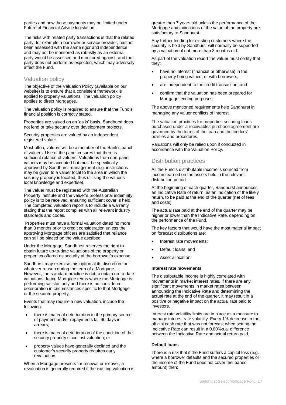parties and how those payments may be limited under Future of Financial Advice legislation.

The risks with related party transactions is that the related party, for example a borrower or service provider, has not been assessed with the same rigor and independence and may not be monitored as robustly as an external party would be assessed and monitored against, and the party does not perform as expected, which may adversely affect the Fund.

# Valuation policy

The objective of the Valuation Policy (available on our website) is to ensure that a consistent framework is applied to property valuations. The valuation policy applies to direct Mortgages.

The valuation policy is required to ensure that the Fund's financial position is correctly stated.

Properties are valued on an 'as is' basis. Sandhurst does not lend or take security over development projects.

Security properties are valued by an independent registered valuer.

Most often, valuers will be a member of the Bank's panel of valuers. Use of the panel ensures that there is sufficient rotation of valuers. Valuations from non-panel valuers may be accepted but must be specifically approved by Sandhurst management (e.g. instructions may be given to a valuer local to the area in which the security property is located, thus utilising the valuer's local knowledge and expertise).

The valuer must be registered with the Australian Property Institute and the valuer's professional indemnity policy is to be received, ensuring sufficient cover is held. The completed valuation report is to include a warranty stating that the report complies with all relevant industry standards and codes.

Properties must have a formal valuation dated no more than 3 months prior to credit consideration unless the approving Mortgage officers are satisfied that reliance can still be placed on the value ascribed.

Under the Mortgage, Sandhurst reserves the right to obtain future up-to-date valuations of the property or properties offered as security at the borrower's expense.

Sandhurst may exercise this option at its discretion for whatever reason during the term of a Mortgage. However, the standard practice is not to obtain up-to-date valuations during Mortgage terms where the Mortgage is performing satisfactorily and there is no considered deterioration in circumstances specific to that Mortgage or the secured property.

Events that may require a new valuation, include the following:

- there is material deterioration in the primary source of payment and/or repayments fall 90 days in arrears;
- there is material deterioration of the condition of the security property since last valuation; or
- property values have generally declined and the customer's security property requires early revaluation.

When a Mortgage presents for renewal or rollover, a revaluation is generally required if the existing valuation is greater than 7 years old unless the performance of the Mortgage and indications of the value of the property are satisfactory to Sandhurst.

Any further lending for existing customers where the security is held by Sandhurst will normally be supported by a valuation of not more than 3 months old.

As part of the valuation report the valuer must certify that they:

- have no interest (financial or otherwise) in the property being valued, or with borrowers;
- are independent to the credit transaction; and
- confirm that the valuation has been prepared for Mortgage lending purposes.

The above mentioned requirements help Sandhurst in managing any valuer conflicts of interest.

The valuation practices for properties securing loans purchased under a receivables purchase agreement are governed by the terms of the loan and the lenders' policies and procedures.

Valuations will only be relied upon if conducted in accordance with the Valuation Policy.

# Distribution practices

All the Fund's distributable income is sourced from income earned on the assets held in the relevant distribution period.

At the beginning of each quarter, Sandhurst announces an Indicative Rate of return, as an indication of the likely return, to be paid at the end of the quarter (net of fees and costs).

The actual rate paid at the end of the quarter may be higher or lower than the Indicative Rate, depending on the performance of the Fund.

The key factors that would have the most material impact on forecast distributions are:

- Interest rate movements;
- Default loans; and
- Asset allocation.

#### **Interest rate movements**

The distributable income is highly correlated with movements in market interest rates. If there are any significant movements in market rates between announcing the Indicative Rate and determining the actual rate at the end of the quarter, it may result in a positive or negative impact on the actual rate paid to investors.

Interest rate volatility limits are in place as a measure to manage interest rate volatility. Every 1% decrease in the official cash rate that was not forecast when setting the Indicative Rate can result in a 0.80%p.a. difference between the Indicative Rate and actual return paid.

#### **Default loans**

There is a risk that if the Fund suffers a capital loss (e.g. where a borrower defaults and the secured properties or the income of the Fund does not cover the loaned amount) then: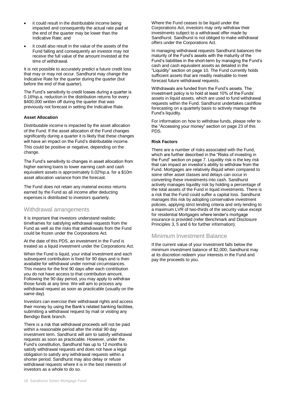- it could result in the distributable income being impacted and consequently the actual rate paid at the end of the quarter may be lower than the Indicative Rate; and
- it could also result in the value of the assets of the Fund falling and consequently an investor may not receive the full value of the amount invested at the time of withdrawal.

It is not possible to accurately predict a future credit loss that may or may not occur. Sandhurst may change the Indicative Rate for the quarter during the quarter (but before the end of that quarter).

The Fund's sensitivity to credit losses during a quarter is 0.16%p.a. reduction in the distribution returns for every \$400,000 written off during the quarter that was previously not forecast in setting the Indicative Rate.

#### **Asset Allocation**

Distributable income is impacted by the asset allocation of the Fund. If the asset allocation of the Fund changes significantly during a quarter it is likely that these changes will have an impact on the Fund's distributable income. This could be positive or negative, depending on the change.

The Fund's sensitivity to changes in asset allocation from higher earning loans to lower earning cash and cash equivalent assets is approximately 0.02%p.a. for a \$10m asset allocation variance from the forecast.

The Fund does not retain any material excess returns earned by the Fund as all income after deducting expenses is distributed to investors quarterly.

#### Withdrawal arrangements

It is important that investors understand realistic timeframes for satisfying withdrawal requests from the Fund as well as the risks that withdrawals from the Fund could be frozen under the Corporations Act.

At the date of this PDS, an investment in the Fund is treated as a liquid investment under the Corporations Act.

When the Fund is liquid, your initial investment and each subsequent contribution is fixed for 90 days and is then available for withdrawal under normal circumstances. This means for the first 90 days after each contribution you do not have access to that contribution amount. Following the 90 day period, you may apply to withdraw those funds at any time. We will aim to process any withdrawal request as soon as practicable (usually on the same day).

Investors can exercise their withdrawal rights and access their money by using the Bank's related banking facilities, submitting a withdrawal request by mail or visiting any Bendigo Bank branch.

There is a risk that withdrawal proceeds will not be paid within a reasonable period after the initial 90 day investment term. Sandhurst will aim to satisfy withdrawal requests as soon as practicable. However, under the Fund's constitution, Sandhurst has up to 12 months to satisfy withdrawal requests and does not have a legal obligation to satisfy any withdrawal requests within a shorter period. Sandhurst may also delay or refuse withdrawal requests where it is in the best interests of investors as a whole to do so.

Where the Fund ceases to be liquid under the Corporations Act, investors may only withdraw their investments subject to a withdrawal offer made by Sandhurst. Sandhurst is not obliged to make withdrawal offers under the Corporations Act.

In managing withdrawal requests Sandhurst balances the maturity of the Fund's assets with the maturity of the Fund's liabilities in the short-term by managing the Fund's cash and cash equivalent assets as detailed in the "Liquidity" section on page 10. The Fund currently holds sufficient assets that are readily realisable to meet forecast future withdrawal requests.

Withdrawals are funded from the Fund's assets. The investment policy is to hold at least 10% of the Funds' assets in liquid assets, which are used to fund withdrawal requests within the Fund. Sandhurst undertakes cashflow forecasting on a quarterly basis to actively manage the Fund's liquidity.

For information on how to withdraw funds, please refer to the "Accessing your money" section on page 23 of this PDS.

#### **Risk Factors**

There are a number of risks associated with the Fund, which are further described in the "Risks of investing in the Fund" section on page 7. Liquidity risk is the key risk that can impact an investor's ability to withdraw from the Fund. Mortgages are relatively illiquid when compared to some other asset classes and delays can occur in converting these investments into cash. Sandhurst actively manages liquidity risk by holding a percentage of the total assets of the Fund in liquid investments. There is a risk that the Fund could suffer a capital loss. Sandhurst manages this risk by adopting conservative investment policies, applying strict lending criteria and only lending to a maximum LVR of two-thirds of the security value except for residential Mortgages where lender's mortgage insurance is provided (refer Benchmark and Disclosure Principles 3, 5 and 6 for further information).

## Minimum Investment Balance

If the current value of your investment falls below the minimum investment balance of \$2,000, Sandhurst may at its discretion redeem your interests in the Fund and pay the proceeds to you.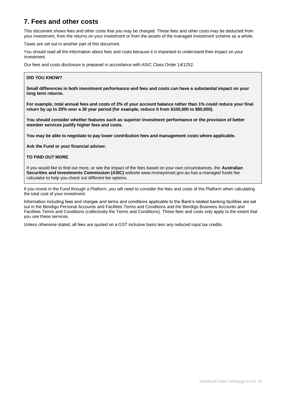# **7. Fees and other costs**

This document shows fees and other costs that you may be charged. These fees and other costs may be deducted from your investment, from the returns on your investment or from the assets of the managed investment scheme as a whole.

Taxes are set out in another part of this document.

You should read all the information about fees and costs because it is important to understand their impact on your investment.

Our fees and costs disclosure is prepared in accordance with ASIC Class Order 14/1252.

## **DID YOU KNOW?**

**Small differences in both investment performance and fees and costs can have a substantial impact on your long term returns.**

**For example, total annual fees and costs of 2% of your account balance rather than 1% could reduce your final return by up to 20% over a 30 year period (for example, reduce it from \$100,000 to \$80,000).**

**You should consider whether features such as superior investment performance or the provision of better member services justify higher fees and costs.**

**You may be able to negotiate to pay lower contribution fees and management costs where applicable.**

**Ask the Fund or your financial adviser.**

#### **TO FIND OUT MORE**

If you would like to find out more, or see the impact of the fees based on your own circumstances, the **Australian Securities and Investments Commission (ASIC)** website www.moneysmart.gov.au has a managed funds fee calculator to help you check out different fee options.

If you invest in the Fund through a Platform, you will need to consider the fees and costs of the Platform when calculating the total cost of your investment.

Information including fees and charges and terms and conditions applicable to the Bank's related banking facilities are set out in the Bendigo Personal Accounts and Facilities Terms and Conditions and the Bendigo Business Accounts and Facilities Terms and Conditions (collectively the Terms and Conditions). These fees and costs only apply to the extent that you use these services.

Unless otherwise stated, all fees are quoted on a GST inclusive basis less any reduced input tax credits.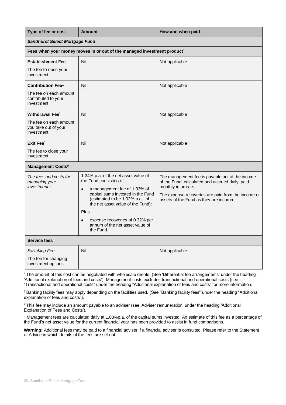| Type of fee or cost                                           | <b>Amount</b>                                                                                                         | How and when paid                                                                                  |  |  |  |
|---------------------------------------------------------------|-----------------------------------------------------------------------------------------------------------------------|----------------------------------------------------------------------------------------------------|--|--|--|
| <b>Sandhurst Select Mortgage Fund</b>                         |                                                                                                                       |                                                                                                    |  |  |  |
|                                                               | Fees when your money moves in or out of the managed investment product <sup>1</sup>                                   |                                                                                                    |  |  |  |
| <b>Establishment Fee</b>                                      | Nil                                                                                                                   | Not applicable                                                                                     |  |  |  |
| The fee to open your<br>investment.                           |                                                                                                                       |                                                                                                    |  |  |  |
| <b>Contribution Fee<sup>1</sup></b>                           | Nil                                                                                                                   | Not applicable                                                                                     |  |  |  |
| The fee on each amount<br>contributed to your<br>investment.  |                                                                                                                       |                                                                                                    |  |  |  |
| Withdrawal Fee <sup>1</sup>                                   | Nil                                                                                                                   | Not applicable                                                                                     |  |  |  |
| The fee on each amount<br>you take out of your<br>investment. |                                                                                                                       |                                                                                                    |  |  |  |
| Exit Fee <sup>1</sup>                                         | Nil                                                                                                                   | Not applicable                                                                                     |  |  |  |
| The fee to close your<br>investment.                          |                                                                                                                       |                                                                                                    |  |  |  |
| <b>Management Costs*</b>                                      |                                                                                                                       |                                                                                                    |  |  |  |
| The fees and costs for<br>managing your<br>investment. $2$    | 1.34% p.a. of the net asset value of<br>the Fund consisting of:                                                       | The management fee is payable out of the income<br>of the Fund, calculated and accrued daily, paid |  |  |  |
|                                                               | a management fee of 1.03% of<br>$\bullet$                                                                             | monthly in arrears.                                                                                |  |  |  |
|                                                               | capital sums invested in the Fund<br>(estimated to be 1.02% p.a. <sup>3</sup> of<br>the net asset value of the Fund): | The expense recoveries are paid from the income or<br>assets of the Fund as they are incurred.     |  |  |  |
|                                                               | Plus                                                                                                                  |                                                                                                    |  |  |  |
|                                                               | expense recoveries of 0.32% per<br>$\bullet$<br>annum of the net asset value of<br>the Fund.                          |                                                                                                    |  |  |  |
| <b>Service fees</b>                                           |                                                                                                                       |                                                                                                    |  |  |  |
| Switching Fee                                                 | Nil                                                                                                                   | Not applicable                                                                                     |  |  |  |
| The fee for changing<br>investment options.                   |                                                                                                                       |                                                                                                    |  |  |  |

\* The amount of this cost can be negotiated with wholesale clients. (See 'Differential fee arrangements' under the heading 'Additional explanation of fees and costs'). Management costs excludes transactional and operational costs (see "Transactional and operational costs" under the heading "Additional explanation of fees and costs" for more information.

<sup>1</sup> Banking facility fees may apply depending on the facilities used. (See "Banking facility fees" under the heading "Additional explanation of fees and costs").

2.This fee may include an amount payable to an adviser (see 'Adviser remuneration' under the heading 'Additional Explanation of Fees and Costs').

<sup>3</sup> Management fees are calculated daily at 1.03%p.a. of the capital sums invested. An estimate of this fee as a percentage of the Fund's net asset value for the current financial year has been provided to assist in fund comparisons.

**Warning:** Additional fees may be paid to a financial adviser if a financial adviser is consulted. Please refer to the Statement of Advice in which details of the fees are set out.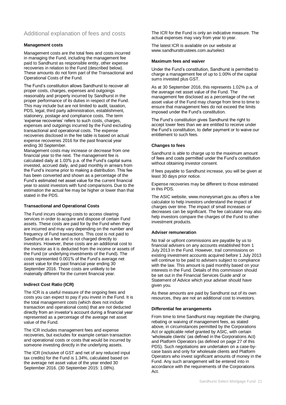# Additional explanation of fees and costs

#### **Management costs**

Management costs are the total fees and costs incurred in managing the Fund, including the management fee paid to Sandhurst as responsible entity, other expense recoveries in relation to the Fund (described below). These amounts do not form part of the Transactional and Operational Costs of the Fund.

The Fund's constitution allows Sandhurst to recover all proper costs, charges, expenses and outgoings reasonably and properly incurred by Sandhurst in the proper performance of its duties in respect of the Fund. This may include but are not limited to audit, taxation, PDS, legal, third party administration, establishment, stationery, postage and compliance costs. The term 'expense recoveries' refers to such costs, charges, expenses and outgoings incurred by the Fund excluding transactional and operational costs. The expense recoveries disclosed in the fee table is based on actual expense recoveries 2016 for the past financial year ending 30 September.

Management costs may increase or decrease from one financial year to the next. The management fee is calculated daily at 1.03% p.a. of the Fund's capital sums invested, accrued daily, and paid monthly in arrears from the Fund's income prior to making a distribution. This fee has been converted and shown as a percentage of the Fund's estimated net asset value for the current financial year to assist investors with fund comparisons. Due to the estimation the actual fee may be higher or lower than that stated in the PDS.

#### **Transactional and Operational Costs**

The Fund incurs clearing costs to access clearing services in order to acquire and dispose of certain Fund assets. These costs are paid for by the Fund when they are incurred and may vary depending on the number and frequency of Fund transactions. This cost is not paid to Sandhurst as a fee and is not charged directly to investors. However, these costs are an additional cost to the investor as it is deducted from the income or assets of the Fund (or underlying investments of the Fund). The costs represented 0.001% of the Fund's average net asset value for the past financial year ending 30 September 2016. Those costs are unlikely to be materially different for the current financial year.

#### **Indirect Cost Ratio (ICR)**

The ICR is a useful measure of the ongoing fees and costs you can expect to pay if you invest in the Fund. It is the total management costs (which does not include transaction and operational costs) that are not deducted directly from an investor's account during a financial year represented as a percentage of the average net asset value of the Fund.

The ICR includes management fees and expense recoveries, but excludes for example certain transaction and operational costs or costs that would be incurred by someone investing directly in the underlying assets.

The ICR (inclusive of GST and net of any reduced input tax credits) for the Fund is 1.34%, calculated based on the average net asset value of the year ended 30 September 2016. (30 September 2015: 1.08%).

The ICR for the Fund is only an indicative measure. The actual expenses may vary from year to year.

The latest ICR is available on our website at www.sandhursttrustees.com.au/select

#### **Maximum fees and waiver**

Under the Fund's constitution, Sandhurst is permitted to charge a management fee of up to 1.00% of the capital sums invested plus GST.

As at 30 September 2016, this represents 1.02% p.a. of the average net asset value of the Fund. The management fee disclosed as a percentage of the net asset value of the Fund may change from time to time to ensure that management fees do not exceed the limits imposed under the Fund's constitution.

The Fund's constitution gives Sandhurst the right to accept lower fees than we are entitled to receive under the Fund's constitution, to defer payment or to waive our entitlement to such fees.

#### **Changes to fees**

Sandhurst is able to charge up to the maximum amount of fees and costs permitted under the Fund's constitution without obtaining investor consent.

If fees payable to Sandhurst increase, you will be given at least 30 days prior notice.

Expense recoveries may be different to those estimated in this PDS.

The ASIC website, [www.moneysmart.gov.au](http://www.moneysmart.gov.au/) offers a fee calculator to help investors understand the impact of charges over time. The impact of small increases or decreases can be significant. The fee calculator may also help investors compare the charges of the Fund to other investment products.

#### **Adviser remuneration**

No trail or upfront commissions are payable by us to financial advisers on any accounts established from 1 July 2013 in the Fund. However, trail commissions on existing investment accounts acquired before 1 July 2013 will continue to be paid to advisers subject to compliance with the law. This amount is paid monthly based on your interests in the Fund. Details of this commission should be set out in the Financial Services Guide and/ or Statement of Advice which your adviser should have given you.

As these amounts are paid by Sandhurst out of its own resources, they are not an additional cost to investors.

#### **Differential fee arrangements**

From time to time Sandhurst may negotiate the charging, rebating or waiving of management fees, as stated above, in circumstances permitted by the Corporations Act or applicable relief granted by ASIC, with certain 'wholesale clients' (as defined in the Corporations Act) and Platform Operators (as defined on page 27 of this PDS). Such negotiations are undertaken on a case-bycase basis and only for wholesale clients and Platform Operators who invest significant amounts of money in the Fund. Any such arrangement will be entered into in accordance with the requirements of the Corporations Act.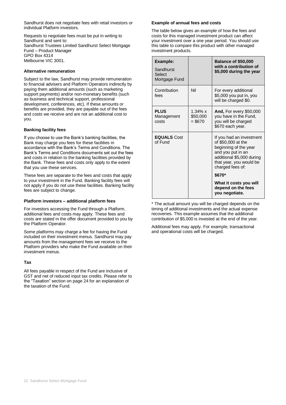Sandhurst does not negotiate fees with retail investors or individual Platform investors.

Requests to negotiate fees must be put in writing to Sandhurst and sent to: Sandhurst Trustees Limited Sandhurst Select Mortgage Fund – Product Manager GPO Box 4314 Melbourne VIC 3001.

#### **Alternative remuneration**

Subject to the law, Sandhurst may provide remuneration to financial advisers and Platform Operators indirectly by paying them additional amounts (such as marketing support payments) and/or non-monetary benefits (such as business and technical support, professional development, conferences, etc). If these amounts or benefits are provided, they are payable out of the fees and costs we receive and are not an additional cost to you.

#### **Banking facility fees**

If you choose to use the Bank's banking facilities, the Bank may charge you fees for these facilities in accordance with the Bank's Terms and Conditions. The Bank's Terms and Conditions documents set out the fees and costs in relation to the banking facilities provided by the Bank. These fees and costs only apply to the extent that you use these services.

These fees are separate to the fees and costs that apply to your investment in the Fund. Banking facility fees will not apply if you do not use these facilities. Banking facility fees are subject to change.

#### **Platform investors – additional platform fees**

For investors accessing the Fund through a Platform, additional fees and costs may apply. These fees and costs are stated in the offer document provided to you by the Platform Operator.

Some platforms may charge a fee for having the Fund included on their investment menus. Sandhurst may pay amounts from the management fees we receive to the Platform providers who make the Fund available on their investment menus.

#### **Tax**

All fees payable in respect of the Fund are inclusive of GST and net of reduced input tax credits. Please refer to the "Taxation" section on page 24 for an explanation of the taxation of the Fund.

#### **Example of annual fees and costs**

The table below gives an example of how the fees and costs for this managed investment product can affect your investment over a one year period. You should use this table to compare this product with other managed investment products.

| Example:<br>Sandhurst<br>Select<br>Mortgage Fund |                                  | <b>Balance of \$50,000</b><br>with a contribution of<br>\$5,000 during the year                                                                                          |
|--------------------------------------------------|----------------------------------|--------------------------------------------------------------------------------------------------------------------------------------------------------------------------|
| Contribution<br>fees                             | Nil                              | For every additional<br>\$5,000 you put in, you<br>will be charged \$0.                                                                                                  |
| <b>PLUS</b><br>Management<br>costs               | 1.34% x<br>\$50,000<br>$=$ \$670 | <b>And, For every \$50,000</b><br>you have in the Fund,<br>you will be charged<br>\$670 each year.                                                                       |
| <b>EQUALS Cost</b><br>of Fund                    |                                  | If you had an investment<br>of \$50,000 at the<br>beginning of the year<br>and you put in an<br>additional \$5,000 during<br>that year, you would be<br>charged fees of: |
|                                                  |                                  | \$670*                                                                                                                                                                   |
|                                                  |                                  | What it costs you will<br>depend on the fees<br>you negotiate.                                                                                                           |

\* The actual amount you will be charged depends on the timing of additional investments and the actual expense recoveries. This example assumes that the additional contribution of \$5,000 is invested at the end of the year.

Additional fees may apply. For example, transactional and operational costs will be charged.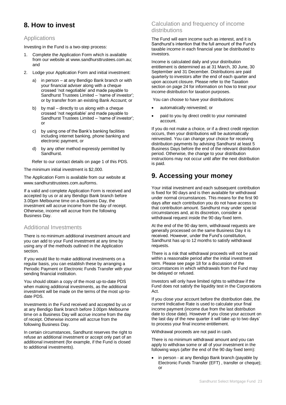# **8. How to invest**

# Applications

Investing in the Fund is a two-step process:

- 1. Complete the Application Form which is available from our website a[t www.sandhursttrustees.com.au;](http://www.sandhursttrustees.com.au/) and
- 2. Lodge your Application Form and initial investment:
	- a) in person at any Bendigo Bank branch or with your financial adviser along with a cheque crossed 'not negotiable' and made payable to Sandhurst Trustees Limited – 'name of investor'; or by transfer from an existing Bank Account; or
	- b) by mail directly to us along with a cheque crossed 'not negotiable' and made payable to Sandhurst Trustees Limited – 'name of investor'; or
	- c) by using one of the Bank's banking facilities including internet banking, phone banking and electronic payment, or
	- d) by any other method expressly permitted by Sandhurst.

Refer to our contact details on page 1 of this PDS.

The minimum initial investment is \$2,000.

The Application Form is available from our website at [www.sandhursttrustees.com.au/forms](http://www.sandhursttrustees.com.au/forms).

If a valid and complete Application Form is received and accepted by us or at any Bendigo Bank branch before 3.00pm Melbourne time on a Business Day, the investment will accrue income from the day of receipt. Otherwise, income will accrue from the following Business Day.

## Additional Investments

There is no minimum additional investment amount and you can add to your Fund investment at any time by using any of the methods outlined in the Application section.

If you would like to make additional investments on a regular basis, you can establish these by arranging a Periodic Payment or Electronic Funds Transfer with your sending financial institution.

You should obtain a copy of the most up-to-date PDS when making additional investments, as the additional investment will be made on the terms of the most up-todate PDS.

Investments in the Fund received and accepted by us or at any Bendigo Bank branch before 3.00pm Melbourne time on a Business Day will accrue income from the day of receipt. Otherwise income will accrue from the following Business Day.

In certain circumstances, Sandhurst reserves the right to refuse an additional investment or accept only part of an additional investment (for example, if the Fund is closed to additional investments).

# Calculation and frequency of income distributions

The Fund will earn income such as interest, and it is Sandhurst's intention that the full amount of the Fund's taxable income in each financial year be distributed to investors.

Income is calculated daily and your distribution entitlement is determined as at 31 March, 30 June, 30 September and 31 December. Distributions are paid quarterly to investors after the end of each quarter and upon account closure. Please refer to the Taxation section on page 24 for information on how to treat your income distribution for taxation purposes.

You can choose to have your distributions:

- automatically reinvested; or
- paid to you by direct credit to your nominated account.

If you do not make a choice, or if a direct credit rejection occurs, then your distributions will be automatically reinvested. You can change your choice for receiving distribution payments by advising Sandhurst at least 5 Business Days before the end of the relevant distribution period. Otherwise, the change to your distribution instructions may not occur until after the next distribution is paid.

# **9. Accessing your money**

Your initial investment and each subsequent contribution is fixed for 90 days and is then available for withdrawal under normal circumstances. This means for the first 90 days after each contribution you do not have access to that contribution amount. Sandhurst may under special circumstances and, at its discretion, consider a withdrawal request inside the 90 day fixed term.

At the end of the 90 day term, withdrawal requests are generally processed on the same Business Day it is received. However, under the Fund's constitution, Sandhurst has up to 12 months to satisfy withdrawal requests.

There is a risk that withdrawal proceeds will not be paid within a reasonable period after the initial investment term. Please see page 18 for a discussion of the circumstances in which withdrawals from the Fund may be delayed or refused.

Investors will only have limited rights to withdraw if the Fund does not satisfy the liquidity test in the Corporations Act.

If you close your account before the distribution date, the current Indicative Rate is used to calculate your final income payment (income due from the last distribution date to close date). However if you close your account on the last day of the new quarter it will take up to two days' to process your final income entitlement.

Withdrawal proceeds are not paid in cash.

There is no minimum withdrawal amount and you can apply to withdraw some or all of your investment in the following ways (after the end of the 90 day fixed term):

 in person - at any Bendigo Bank branch (payable by Electronic Funds Transfer (EFT) , transfer or cheque); or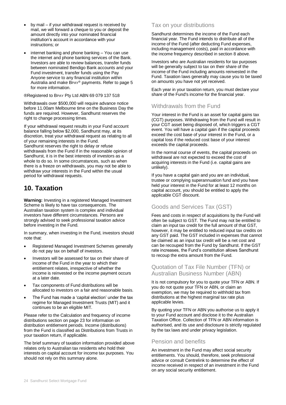- by mail if your withdrawal request is received by mail, we will forward a cheque to you or deposit the amount directly into your nominated financial institution's account in accordance with your instructions; or
- internet banking and phone banking You can use the internet and phone banking services of the Bank. Investors are able to review balances, transfer funds between nominated Bendigo Bank accounts and your Fund investment, transfer funds using the Pay Anyone service to any financial institution within Australia and make BPAY® payments. Refer to page 5 for more information.

#### ®Registered to BPAY Pty Ltd ABN 69 079 137 518

Withdrawals over \$500,000 will require advance notice before 11.00am Melbourne time on the Business Day the funds are required. However, Sandhurst reserves the right to change processing times.

If your withdrawal request results in your Fund account balance falling below \$2,000, Sandhurst may, at its discretion, treat your withdrawal request as relating to all of your remaining interests in the Fund. Sandhurst reserves the right to delay or refuse withdrawals from the Fund if in the reasonable opinion of Sandhurst, it is in the best interests of investors as a whole to do so. In some circumstances, such as when there is a freeze on withdrawals, you may not be able to withdraw your interests in the Fund within the usual period for withdrawal requests.

# **10. Taxation**

**Warning:** Investing in a registered Managed Investment Scheme is likely to have tax consequences. The Australian taxation system is complex and individual investors have different circumstances. Persons are strongly advised to seek professional taxation advice before investing in the Fund.

In summary, when investing in the Fund, investors should note that:

- Registered Managed Investment Schemes generally do not pay tax on behalf of investors.
- Investors will be assessed for tax on their share of income of the Fund in the year to which their entitlement relates, irrespective of whether the income is reinvested or the income payment occurs at a later date.
- Tax components of Fund distributions will be allocated to investors on a fair and reasonable basis.
- The Fund has made a 'capital election' under the tax regime for Managed Investment Trusts (MIT) and it continues to be an eligible MIT.

Please refer to the Calculation and frequency of income distributions section on page 23 for information on distribution entitlement periods. Income (distributions) from the Fund is classified as Distributions from Trusts in your taxation return, if applicable.

The brief summary of taxation information provided above relates only to Australian tax residents who hold their interests on capital account for income tax purposes. You should not rely on this summary alone.

# Tax on your distributions

Sandhurst determines the income of the Fund each financial year. The Fund intends to distribute all of the income of the Fund (after deducting Fund expenses, including management costs), paid in accordance with the income frequency described in section 8 above.

Investors who are Australian residents for tax purposes will be generally subject to tax on their share of the income of the Fund including amounts reinvested in the Fund. Taxation laws generally may cause you to be taxed on amounts you have not yet received.

Each year in your taxation return, you must declare your share of the Fund's income for the financial year.

# Withdrawals from the Fund

Your interest in the Fund is an asset for capital gains tax (CGT) purposes. Withdrawing from the Fund will result in your CGT asset being disposed of, which triggers a CGT event. You will have a capital gain if the capital proceeds exceed the cost base of your interest in the Fund, or a capital loss if the reduced cost base of your interest exceeds the capital proceeds.

In the normal course of events, the capital proceeds on withdrawal are not expected to exceed the cost of acquiring interests in the Fund (i.e. capital gains are unlikely).

If you have a capital gain and you are an individual, trustee or complying superannuation fund and you have held your interest in the Fund for at least 12 months on capital account, you should be entitled to apply the applicable CGT discount.

# Goods and Services Tax (GST)

Fees and costs in respect of acquisitions by the Fund will often be subject to GST. The Fund may not be entitled to claim an input tax credit for the full amount of that GST, however, it may be entitled to reduced input tax credits on any GST paid. The GST included in expenses that cannot be claimed as an input tax credit will be a net cost and can be recouped from the Fund by Sandhurst. If the GST rate increases, the Fund's constitution allows Sandhurst to recoup the extra amount from the Fund.

# Quotation of Tax File Number (TFN) or Australian Business Number (ABN)

It is not compulsory for you to quote your TFN or ABN. If you do not quote your TFN or ABN, or claim an exemption, we may be required to withhold tax from distributions at the highest marginal tax rate plus applicable levies.

By quoting your TFN or ABN you authorise us to apply it to your Fund account and disclose it to the Australian Taxation Office. Collection of TFN or ABN information is authorised, and its use and disclosure is strictly regulated by the tax laws and under privacy legislation.

# Pension and benefits

An investment in the Fund may affect social security entitlements. You should, therefore, seek professional advice or consult Centrelink to determine the effect of income received in respect of an investment in the Fund on any social security entitlement.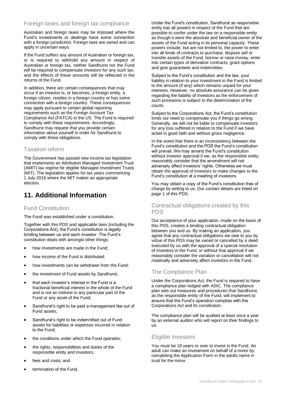# Foreign taxes and foreign tax compliance

Australian and foreign taxes may be imposed where the Fund's investments or dealings have some connection with a foreign jurisdiction. Foreign laws are varied and can apply in uncertain ways.

If the Fund suffers any amount of Australian or foreign tax, or is required to withhold any amount in respect of Australian or foreign tax, neither Sandhurst nor the Fund will be required to compensate investors for any such tax, and the effects of these amounts will be reflected in the returns of the Fund.

In addition, there are certain consequences that may occur if an investor is, or becomes, a foreign entity, a foreign citizen, resides in a foreign country or has some connection with a foreign country. These consequences may apply pursuant to certain global reporting requirements such as the Foreign Account Tax Compliance Act (FATCA) in the US. The Fund is required to comply with these requirements. Accordingly, Sandhurst may request that you provide certain information about yourself in order for Sandhurst to comply with these obligations.

# Taxation reform

The Government has passed new income tax legislation that implements an Attribution Managed Investment Trust (AMIT) tax regime for eligible Managed Investment Trusts (MIT). The legislation applies for tax years commencing 1 July 2016 where the MIT makes an appropriate election.

# **11. Additional Information**

## Fund Constitution

The Fund was established under a constitution.

Together with this PDS and applicable laws (including the Corporations Act), the Fund's constitution is legally binding between us and each investor. The Fund's constitution deals with amongst other things:

- how investments are made in the Fund;
- how income of the Fund is distributed;
- how investments can be withdrawn from the Fund;
- the investment of Fund assets by Sandhurst;
- that each investor's interest in the Fund is a fractional beneficial interest in the whole of the Fund and is not an interest in any particular part of the Fund or any asset of the Fund;
- Sandhurst's right to be paid a management fee out of Fund assets;
- Sandhurst's right to be indemnified out of Fund assets for liabilities or expenses incurred in relation to the Fund;
- the conditions under which the Fund operates;
- the rights, responsibilities and duties of the responsible entity and investors;
- fees and costs; and
- termination of the Fund.

Under the Fund's constitution, Sandhurst as responsible entity has all powers in respect of the Fund that are possible to confer under the law on a responsible entity as though it were the absolute and beneficial owner of the assets of the Fund acting in its personal capacity. These powers include, but are not limited to, the power to enter into all kinds of contracts to purchase, dispose sell or transfer assets of the Fund, borrow or raise money, enter into certain types of derivative contracts, grant options and give guarantees and indemnities.

Subject to the Fund's constitution and the law, your liability in relation to your investment in the Fund is limited to the amount (if any) which remains unpaid for your interests. However, no absolute assurance can be given regarding the liability of investors as the enforcement of such provisions is subject to the determination of the courts.

Subject to the Corporations Act, the Fund's constitution limits our need to compensate you if things go wrong. Generally, we will not be liable to compensate investors for any loss suffered in relation to the Fund if we have acted in good faith and without gross negligence.

In the event that there is an inconsistency between the Fund's constitution and the PDS the Fund's constitution will prevail. We may amend the Fund's constitution without investor approval if we, as the responsible entity, reasonably consider that the amendment will not adversely affect investors' rights. Otherwise we must obtain the approval of investors to make changes to the Fund's constitution at a meeting of investors.

You may obtain a copy of the Fund's constitution free of charge by writing to us. Our contact details are listed on page 1 of this PDS.

## Contractual obligations created by this PDS

Our acceptance of your application, made on the basis of this PDS, creates a binding contractual obligation between you and us. By making an application, you agree that any contractual obligations we owe to you by virtue of this PDS may be varied or cancelled by a deed executed by us with the approval of a special resolution of investors in the Fund, or without that approval if we reasonably consider the variation or cancellation will not materially and adversely affect investors in the Fund.

# The Compliance Plan

Under the Corporations Act, the Fund is required to have a compliance plan lodged with ASIC. The compliance plan sets out measures and procedures that Sandhurst, as the responsible entity of the Fund, will implement to ensure that the Fund's operation complies with the Corporations Act and its constitution.

The compliance plan will be audited at least once a year by an external auditor who will report on their findings to us.

## Eligible Investors

You must be 18 years or over to invest in the Fund. An adult can make an investment on behalf of a minor by completing the Application Form in the adults name in trust for the minor.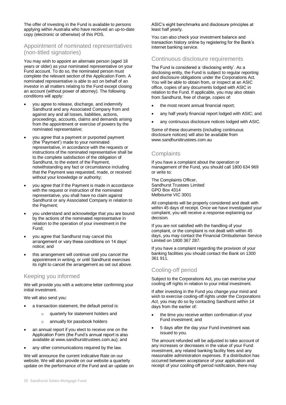The offer of investing in the Fund is available to persons applying within Australia who have received an up-to-date copy (electronic or otherwise) of this PDS.

# Appointment of nominated representatives (non-titled signatories)

You may wish to appoint an alternate person (aged 18 years or older) as your nominated representative on your Fund account. To do so, the nominated person must complete the relevant section of the Application Form. A nominated representative is able to act on behalf of an investor in all matters relating to the Fund except closing an account (without power of attorney). The following conditions will apply:

- you agree to release, discharge, and indemnify Sandhurst and any Associated Company from and against any and all losses, liabilities, actions, proceedings, accounts, claims and demands arising from the appointment or exercise of powers by the nominated representative;
- you agree that a payment or purported payment (the 'Payment') made to your nominated representative, in accordance with the requests or instructions of the nominated representative shall be to the complete satisfaction of the obligation of Sandhurst, to the extent of the Payment, notwithstanding any fact or circumstance including that the Payment was requested, made, or received without your knowledge or authority;
- you agree that if the Payment is made in accordance with the request or instruction of the nominated representative, you shall have no claim against Sandhurst or any Associated Company in relation to the Payment;
- you understand and acknowledge that you are bound by the actions of the nominated representative in relation to the operation of your investment in the Fund;
- you agree that Sandhurst may cancel this arrangement or vary these conditions on 14 days' notice; and
- this arrangement will continue until you cancel the appointment in writing, or until Sandhurst exercises its right to cancel the arrangement as set out above.

# Keeping you informed

We will provide you with a welcome letter confirming your initial investment.

We will also send you:

- a transaction statement, the default period is:
	- o quarterly for statement holders and
	- o annually for passbook holders
- an annual report if you elect to receive one on the Application Form (the Fund's annual report is also available a[t www.sandhursttrustees.com.au\)](http://www.sandhursttrustees.com.au/); and
- any other communications required by the law.

We will announce the current Indicative Rate on our website. We will also provide on our website a quarterly update on the performance of the Fund and an update on ASIC's eight benchmarks and disclosure principles at least half yearly.

You can also check your investment balance and transaction history online by registering for the Bank's internet banking service.

## Continuous disclosure requirements

The Fund is considered a 'disclosing entity'. As a disclosing entity, the Fund is subject to regular reporting and disclosure obligations under the Corporations Act. You will be able to obtain from, or inspect at an ASIC office, copies of any documents lodged with ASIC in relation to the Fund. If applicable, you may also obtain from Sandhurst, free of charge, copies of:

- the most recent annual financial report;
- any half yearly financial report lodged with ASIC; and
- any continuous disclosure notices lodged with ASIC.

Some of these documents (including continuous disclosure notices) will also be available from [www.sandhursttrustees.com.au](http://www.sandhursttrustees.com.au/)

# **Complaints**

If you have a complaint about the operation or management of the Fund, you should call 1800 634 969 or write to:

The Complaints Officer, Sandhurst Trustees Limited GPO Box 4314 Melbourne VIC 3001

All complaints will be properly considered and dealt with within 45 days of receipt. Once we have investigated your complaint, you will receive a response explaining our decision.

If you are not satisfied with the handling of your complaint, or the complaint is not dealt with within 45 days, you may contact the Financial Ombudsman Service Limited on 1800 367 287.

If you have a complaint regarding the provision of your banking facilities you should contact the Bank on 1300 361 911.

# Cooling-off period

Subject to the Corporations Act, you can exercise your cooling off rights in relation to your initial investment.

If after investing in the Fund you change your mind and wish to exercise cooling-off rights under the *Corporations Act,* you may do so by contacting Sandhurst within 14 days from the earlier of:

- the time you receive written confirmation of your Fund investment; and
- 5 days after the day your Fund investment was issued to you.

The amount refunded will be adjusted to take account of any increases or decreases in the value of your Fund investment, any related banking facility fees and any reasonable administration expenses. If a distribution has occurred between acceptance of your application and receipt of your cooling-off period notification, there may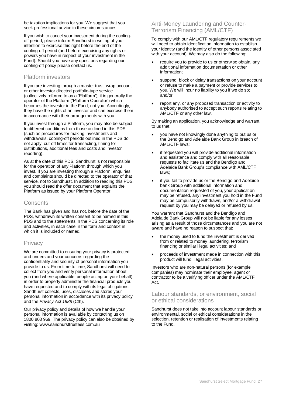be taxation implications for you. We suggest that you seek professional advice in these circumstances.

If you wish to cancel your investment during the coolingoff period, please inform Sandhurst in writing of your intention to exercise this right before the end of the cooling-off period (and before exercising any rights or powers you have in respect of your investment in the Fund). Should you have any questions regarding our cooling-off policy please contact us.

# Platform investors

If you are investing through a master trust, wrap account or other investor directed portfolio-type service (collectively referred to as a 'Platform'), it is generally the operator of the Platform ('Platform Operator') which becomes the investor in the Fund, not you. Accordingly, they have the rights of an investor and can exercise them in accordance with their arrangements with you.

If you invest through a Platform, you may also be subject to different conditions from those outlined in this PDS (such as procedures for making investments and withdrawals, cooling-off periods outlined in the PDS do not apply, cut-off times for transacting, timing for distributions, additional fees and costs and investor reporting).

As at the date of this PDS, Sandhurst is not responsible for the operation of any Platform through which you invest. If you are investing through a Platform, enquiries and complaints should be directed to the operator of that service, not to Sandhurst. In addition to reading this PDS, you should read the offer document that explains the Platform as issued by your Platform Operator.

## **Consents**

The Bank has given and has not, before the date of the PDS, withdrawn its written consent to be named in this PDS and to the statements in the PDS concerning its role and activities, in each case in the form and context in which it is included or named.

# **Privacy**

We are committed to ensuring your privacy is protected and understand your concerns regarding the confidentiality and security of personal information you provide to us. From time to time, Sandhurst will need to collect from you and verify personal information about you (and where applicable, people acting on your behalf) in order to properly administer the financial products you have requested and to comply with its legal obligations. Sandhurst collects, uses, discloses and stores your personal information in accordance with its privacy policy and the *Privacy Act 1988* (Cth).

Our privacy policy and details of how we handle your personal information is available by contacting us on 1800 803 969. The privacy policy can also be obtained by visiting: [www.sandhursttrustees.com.au](http://www.sandhursttrustees.com.au/)

# Anti-Money Laundering and Counter-Terrorism Financing (AML/CTF)

To comply with our AML/CTF regulatory requirements we will need to obtain identification information to establish your identity (and the identity of other persons associated with your account). We may also do the following:

- require you to provide to us or otherwise obtain, any additional information documentation or other information;
- suspend, block or delay transactions on your account or refuse to make a payment or provide services to you. We will incur no liability to you if we do so; and/or
- report any, or any proposed transaction or activity to anybody authorised to accept such reports relating to AML/CTF or any other law.

By making an application, you acknowledge and warrant to us that:

- you have not knowingly done anything to put us or the Bendigo and Adelaide Bank Group in breach of AML/CTF laws;
- if requested you will provide additional information and assistance and comply with all reasonable requests to facilitate us and the Bendigo and Adelaide Bank Group's compliance with AML/CTF laws;
- if you fail to provide us or the Bendigo and Adelaide bank Group with additional information and documentation requested of you, your application may be refused, any investment you hold in the Fund may be compulsorily withdrawn, and/or a withdrawal request by you may be delayed or refused by us.

You warrant that Sandhurst and the Bendigo and Adelaide Bank Group will not be liable for any losses arising as a result of those circumstances and you are not aware and have no reason to suspect that:

- the money used to fund the investment is derived from or related to money laundering, terrorism financing or similar illegal activities; and
- proceeds of investment made in connection with this product will fund illegal activities.

Investors who are non-natural persons (for example companies) may nominate their employee, agent or contractor to be a verifying officer under the AML/CTF Act.

## Labour standards, or environment, social or ethical considerations

Sandhurst does not take into account labour standards or environmental, social or ethical considerations in the selection, retention or realisation of investments relating to the Fund.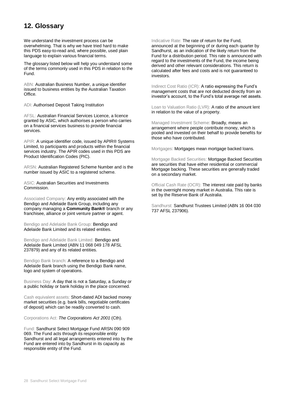# **12. Glossary**

We understand the investment process can be overwhelming. That is why we have tried hard to make this PDS easy-to-read and, where possible, used plain language to explain various financial terms.

The glossary listed below will help you understand some of the terms commonly used in this PDS in relation to the Fund.

ABN: Australian Business Number, a unique identifier issued to business entities by the Australian Taxation Office.

ADI: Authorised Deposit Taking Institution

AFSL: Australian Financial Services Licence, a licence granted by ASIC, which authorises a person who carries on a financial services business to provide financial services.

APIR: A unique identifier code, issued by APIR® Systems Limited, to participants and products within the financial services industry. The APIR codes used in this PDS are Product Identification Codes (PIC).

ARSN: Australian Registered Scheme Number and is the number issued by ASIC to a registered scheme.

ASIC: Australian Securities and Investments Commission.

Associated Company: Any entity associated with the Bendigo and Adelaide Bank Group, including any company managing a **Community Bank®** branch or any franchisee, alliance or joint venture partner or agent.

Bendigo and Adelaide Bank Group: Bendigo and Adelaide Bank Limited and its related entities.

Bendigo and Adelaide Bank Limited: Bendigo and Adelaide Bank Limited (ABN 11 068 049 178 AFSL 237879) and any of its related entities.

Bendigo Bank branch: A reference to a Bendigo and Adelaide Bank branch using the Bendigo Bank name, logo and system of operations.

Business Day: A day that is not a Saturday, a Sunday or a public holiday or bank holiday in the place concerned.

Cash equivalent assets: Short-dated ADI backed money market securities (e.g. bank bills, negotiable certificates of deposit) which can be readily converted to cash.

Corporations Act: *The Corporations Act 2001* (Cth).

Fund: Sandhurst Select Mortgage Fund ARSN 090 909 069. The Fund acts through its responsible entity Sandhurst and all legal arrangements entered into by the Fund are entered into by Sandhurst in its capacity as responsible entity of the Fund.

Indicative Rate: The rate of return for the Fund, announced at the beginning of or during each quarter by Sandhurst, as an indication of the likely return from the Fund for a distribution period. This rate is announced with regard to the investments of the Fund, the income being derived and other relevant considerations. This return is calculated after fees and costs and is not guaranteed to investors.

Indirect Cost Ratio (ICR): A ratio expressing the Fund's management costs that are not deducted directly from an investor's account, to the Fund's total average net assets.

Loan to Valuation Ratio (LVR): A ratio of the amount lent in relation to the value of a property.

Managed Investment Scheme: Broadly, means an arrangement where people contribute money, which is pooled and invested on their behalf to provide benefits for those who have contributed.

Mortgages: Mortgages mean mortgage backed loans.

Mortgage Backed Securities: Mortgage Backed Securities are securities that have either residential or commercial Mortgage backing. These securities are generally traded on a secondary market.

Official Cash Rate (OCR): The interest rate paid by banks in the overnight money market in Australia. This rate is set by the Reserve Bank of Australia.

Sandhurst: Sandhurst Trustees Limited (ABN 16 004 030 737 AFSL 237906).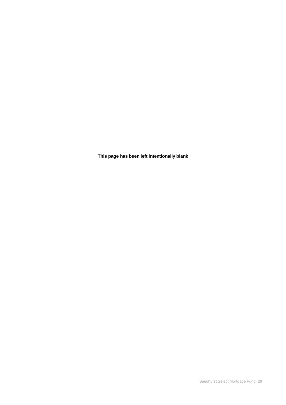**This page has been left intentionally blank**